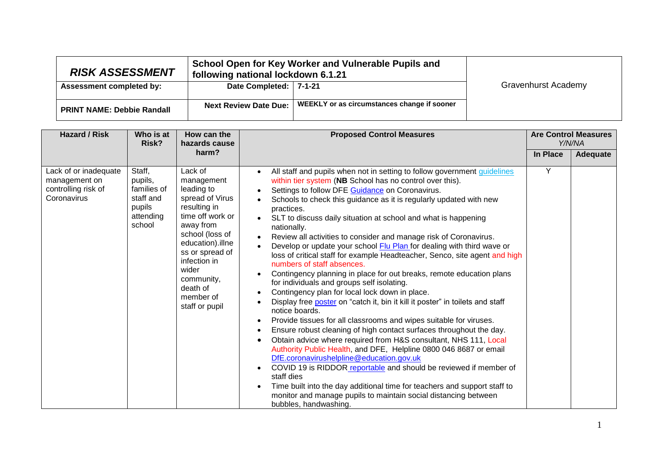| <b>RISK ASSESSMENT</b>            | following national lockdown 6.1.21 | School Open for Key Worker and Vulnerable Pupils and |                            |
|-----------------------------------|------------------------------------|------------------------------------------------------|----------------------------|
| <b>Assessment completed by:</b>   | Date Completed:   7-1-21           |                                                      | <b>Gravenhurst Academy</b> |
|                                   |                                    |                                                      |                            |
| <b>PRINT NAME: Debbie Randall</b> | <b>Next Review Date Due:</b>       | WEEKLY or as circumstances change if sooner          |                            |

| <b>Hazard / Risk</b>                                                         | Who is at<br>Risk?                                                             | How can the<br>hazards cause                                                                                                                                                                                                                        | <b>Proposed Control Measures</b>                                                                                                                                                                                                                                                                                                                                                                                                                                                                                                                                                                                                                                                                                                                                                                                                                                                                                                                                                                                                                                                                                                                                                                                                                                                                                                                                                                                                                                                                | <b>Are Control Measures</b><br>Y/N/NA |          |
|------------------------------------------------------------------------------|--------------------------------------------------------------------------------|-----------------------------------------------------------------------------------------------------------------------------------------------------------------------------------------------------------------------------------------------------|-------------------------------------------------------------------------------------------------------------------------------------------------------------------------------------------------------------------------------------------------------------------------------------------------------------------------------------------------------------------------------------------------------------------------------------------------------------------------------------------------------------------------------------------------------------------------------------------------------------------------------------------------------------------------------------------------------------------------------------------------------------------------------------------------------------------------------------------------------------------------------------------------------------------------------------------------------------------------------------------------------------------------------------------------------------------------------------------------------------------------------------------------------------------------------------------------------------------------------------------------------------------------------------------------------------------------------------------------------------------------------------------------------------------------------------------------------------------------------------------------|---------------------------------------|----------|
|                                                                              |                                                                                | harm?                                                                                                                                                                                                                                               |                                                                                                                                                                                                                                                                                                                                                                                                                                                                                                                                                                                                                                                                                                                                                                                                                                                                                                                                                                                                                                                                                                                                                                                                                                                                                                                                                                                                                                                                                                 | <b>In Place</b>                       | Adequate |
| Lack of or inadequate<br>management on<br>controlling risk of<br>Coronavirus | Staff,<br>pupils,<br>families of<br>staff and<br>pupils<br>attending<br>school | Lack of<br>management<br>leading to<br>spread of Virus<br>resulting in<br>time off work or<br>away from<br>school (loss of<br>education).illne<br>ss or spread of<br>infection in<br>wider<br>community,<br>death of<br>member of<br>staff or pupil | All staff and pupils when not in setting to follow government guidelines<br>within tier system (NB School has no control over this).<br>Settings to follow DFE Guidance on Coronavirus.<br>Schools to check this guidance as it is regularly updated with new<br>practices.<br>SLT to discuss daily situation at school and what is happening<br>nationally.<br>Review all activities to consider and manage risk of Coronavirus.<br>Develop or update your school Flu Plan for dealing with third wave or<br>loss of critical staff for example Headteacher, Senco, site agent and high<br>numbers of staff absences.<br>Contingency planning in place for out breaks, remote education plans<br>for individuals and groups self isolating.<br>Contingency plan for local lock down in place.<br>Display free poster on "catch it, bin it kill it poster" in toilets and staff<br>notice boards.<br>Provide tissues for all classrooms and wipes suitable for viruses.<br>Ensure robust cleaning of high contact surfaces throughout the day.<br>Obtain advice where required from H&S consultant, NHS 111, Local<br>Authority Public Health, and DFE, Helpline 0800 046 8687 or email<br>DfE.coronavirushelpline@education.gov.uk<br>COVID 19 is RIDDOR reportable and should be reviewed if member of<br>staff dies<br>Time built into the day additional time for teachers and support staff to<br>monitor and manage pupils to maintain social distancing between<br>bubbles, handwashing. | Y                                     |          |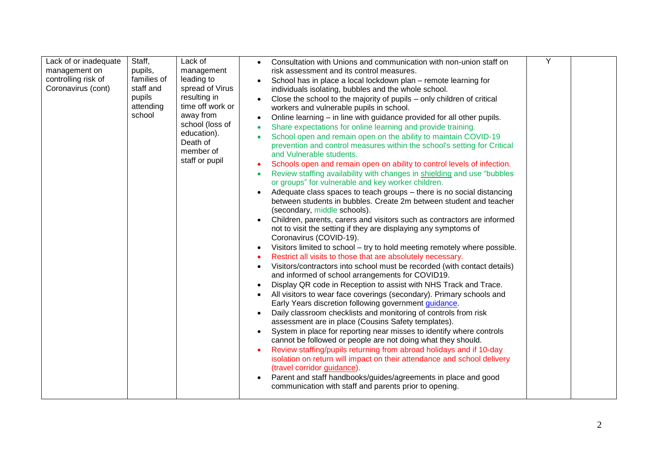| Lack of or inadequate<br>management on<br>controlling risk of<br>Coronavirus (cont) | Staff,<br>pupils,<br>families of<br>staff and | Lack of<br>management<br>leading to<br>spread of Virus                                                                     | Consultation with Unions and communication with non-union staff on<br>risk assessment and its control measures.<br>School has in place a local lockdown plan – remote learning for<br>individuals isolating, bubbles and the whole school.                                                                                                                                                                                                                                                                                                                                                                                                                                                                                                                                                                                                                                                                                                                                                                                                                                                                                                                                                                                                                                                                                                                                                                                                                                                                                                                                                                                                                                                                                                                                                                                                                                                                                                                                                                                                                                  | Ÿ |  |
|-------------------------------------------------------------------------------------|-----------------------------------------------|----------------------------------------------------------------------------------------------------------------------------|-----------------------------------------------------------------------------------------------------------------------------------------------------------------------------------------------------------------------------------------------------------------------------------------------------------------------------------------------------------------------------------------------------------------------------------------------------------------------------------------------------------------------------------------------------------------------------------------------------------------------------------------------------------------------------------------------------------------------------------------------------------------------------------------------------------------------------------------------------------------------------------------------------------------------------------------------------------------------------------------------------------------------------------------------------------------------------------------------------------------------------------------------------------------------------------------------------------------------------------------------------------------------------------------------------------------------------------------------------------------------------------------------------------------------------------------------------------------------------------------------------------------------------------------------------------------------------------------------------------------------------------------------------------------------------------------------------------------------------------------------------------------------------------------------------------------------------------------------------------------------------------------------------------------------------------------------------------------------------------------------------------------------------------------------------------------------------|---|--|
|                                                                                     | pupils<br>attending<br>school                 | resulting in<br>time off work or<br>away from<br>school (loss of<br>education).<br>Death of<br>member of<br>staff or pupil | Close the school to the majority of pupils – only children of critical<br>workers and vulnerable pupils in school.<br>Online learning – in line with guidance provided for all other pupils.<br>Share expectations for online learning and provide training.<br>School open and remain open on the ability to maintain COVID-19<br>prevention and control measures within the school's setting for Critical<br>and Vulnerable students.<br>Schools open and remain open on ability to control levels of infection.<br>Review staffing availability with changes in shielding and use "bubbles<br>or groups" for vulnerable and key worker children.<br>Adequate class spaces to teach groups - there is no social distancing<br>between students in bubbles. Create 2m between student and teacher<br>(secondary, middle schools).<br>Children, parents, carers and visitors such as contractors are informed<br>not to visit the setting if they are displaying any symptoms of<br>Coronavirus (COVID-19).<br>Visitors limited to school - try to hold meeting remotely where possible.<br>Restrict all visits to those that are absolutely necessary.<br>Visitors/contractors into school must be recorded (with contact details)<br>and informed of school arrangements for COVID19.<br>Display QR code in Reception to assist with NHS Track and Trace.<br>All visitors to wear face coverings (secondary). Primary schools and<br>Early Years discretion following government guidance.<br>Daily classroom checklists and monitoring of controls from risk<br>assessment are in place (Cousins Safety templates).<br>System in place for reporting near misses to identify where controls<br>cannot be followed or people are not doing what they should.<br>Review staffing/pupils returning from abroad holidays and if 10-day<br>isolation on return will impact on their attendance and school delivery<br>(travel corridor guidance).<br>Parent and staff handbooks/guides/agreements in place and good<br>communication with staff and parents prior to opening. |   |  |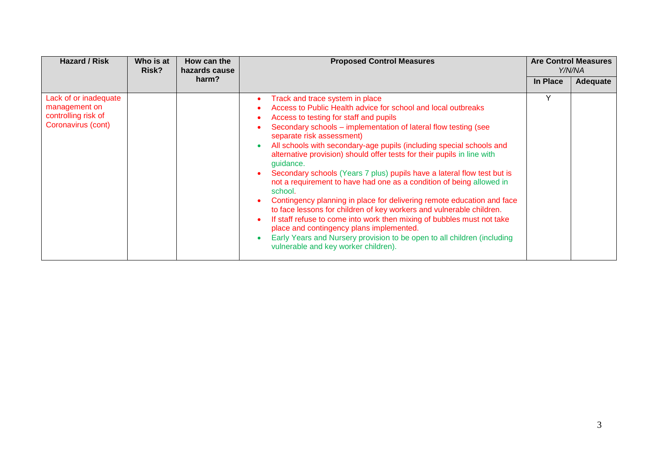| <b>Hazard / Risk</b>                                                                | Who is at<br>Risk? | How can the<br>hazards cause | <b>Proposed Control Measures</b>                                                                                                                                                                                                                                                                                                                                                                                                                                                                                                                                                                                                                                                                                                                                                                                                                                                                                                                                                                           | <b>Are Control Measures</b><br>Y/N/NA |          |
|-------------------------------------------------------------------------------------|--------------------|------------------------------|------------------------------------------------------------------------------------------------------------------------------------------------------------------------------------------------------------------------------------------------------------------------------------------------------------------------------------------------------------------------------------------------------------------------------------------------------------------------------------------------------------------------------------------------------------------------------------------------------------------------------------------------------------------------------------------------------------------------------------------------------------------------------------------------------------------------------------------------------------------------------------------------------------------------------------------------------------------------------------------------------------|---------------------------------------|----------|
|                                                                                     |                    | harm?                        |                                                                                                                                                                                                                                                                                                                                                                                                                                                                                                                                                                                                                                                                                                                                                                                                                                                                                                                                                                                                            | In Place                              | Adequate |
| Lack of or inadequate<br>management on<br>controlling risk of<br>Coronavirus (cont) |                    |                              | Track and trace system in place<br>Access to Public Health advice for school and local outbreaks<br>Access to testing for staff and pupils<br>Secondary schools – implementation of lateral flow testing (see<br>separate risk assessment)<br>All schools with secondary-age pupils (including special schools and<br>$\bullet$<br>alternative provision) should offer tests for their pupils in line with<br>quidance.<br>Secondary schools (Years 7 plus) pupils have a lateral flow test but is<br>not a requirement to have had one as a condition of being allowed in<br>school.<br>Contingency planning in place for delivering remote education and face<br>$\bullet$<br>to face lessons for children of key workers and vulnerable children.<br>If staff refuse to come into work then mixing of bubbles must not take<br>$\bullet$<br>place and contingency plans implemented.<br>Early Years and Nursery provision to be open to all children (including<br>vulnerable and key worker children). | Υ                                     |          |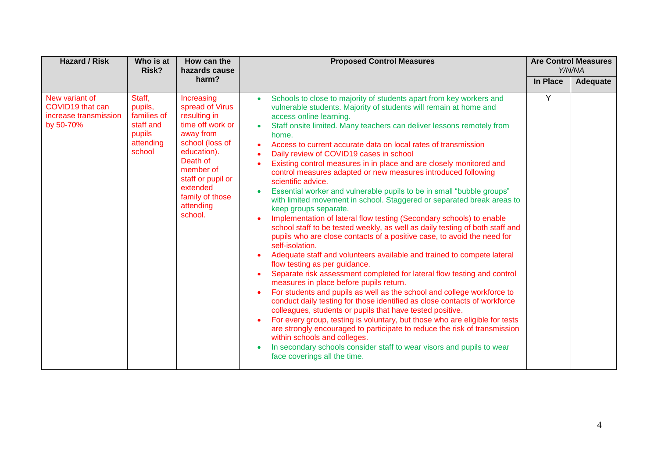| <b>Hazard / Risk</b>                                                     | Who is at<br>Risk?                                                             | How can the<br>hazards cause                                                                                                                                                                                          | <b>Proposed Control Measures</b>                                                                                                                                                                                                                                                                                                                                                                                                                                                                                                                                                                                                                                                                                                                                                                                                                                                                                                                                                                                                                                                                                                                                                                                                                                                                                                                                                                                                                                                                                                                                                                                                                                                                                                                       | <b>Are Control Measures</b><br>Y/N/NA |          |
|--------------------------------------------------------------------------|--------------------------------------------------------------------------------|-----------------------------------------------------------------------------------------------------------------------------------------------------------------------------------------------------------------------|--------------------------------------------------------------------------------------------------------------------------------------------------------------------------------------------------------------------------------------------------------------------------------------------------------------------------------------------------------------------------------------------------------------------------------------------------------------------------------------------------------------------------------------------------------------------------------------------------------------------------------------------------------------------------------------------------------------------------------------------------------------------------------------------------------------------------------------------------------------------------------------------------------------------------------------------------------------------------------------------------------------------------------------------------------------------------------------------------------------------------------------------------------------------------------------------------------------------------------------------------------------------------------------------------------------------------------------------------------------------------------------------------------------------------------------------------------------------------------------------------------------------------------------------------------------------------------------------------------------------------------------------------------------------------------------------------------------------------------------------------------|---------------------------------------|----------|
|                                                                          |                                                                                | harm?                                                                                                                                                                                                                 |                                                                                                                                                                                                                                                                                                                                                                                                                                                                                                                                                                                                                                                                                                                                                                                                                                                                                                                                                                                                                                                                                                                                                                                                                                                                                                                                                                                                                                                                                                                                                                                                                                                                                                                                                        | In Place                              | Adequate |
| New variant of<br>COVID19 that can<br>increase transmission<br>by 50-70% | Staff,<br>pupils,<br>families of<br>staff and<br>pupils<br>attending<br>school | Increasing<br>spread of Virus<br>resulting in<br>time off work or<br>away from<br>school (loss of<br>education).<br>Death of<br>member of<br>staff or pupil or<br>extended<br>family of those<br>attending<br>school. | Schools to close to majority of students apart from key workers and<br>$\bullet$<br>vulnerable students. Majority of students will remain at home and<br>access online learning.<br>Staff onsite limited. Many teachers can deliver lessons remotely from<br>home.<br>Access to current accurate data on local rates of transmission<br>Daily review of COVID19 cases in school<br>Existing control measures in in place and are closely monitored and<br>control measures adapted or new measures introduced following<br>scientific advice.<br>Essential worker and vulnerable pupils to be in small "bubble groups"<br>with limited movement in school. Staggered or separated break areas to<br>keep groups separate.<br>Implementation of lateral flow testing (Secondary schools) to enable<br>school staff to be tested weekly, as well as daily testing of both staff and<br>pupils who are close contacts of a positive case, to avoid the need for<br>self-isolation.<br>Adequate staff and volunteers available and trained to compete lateral<br>flow testing as per guidance.<br>Separate risk assessment completed for lateral flow testing and control<br>measures in place before pupils return.<br>For students and pupils as well as the school and college workforce to<br>conduct daily testing for those identified as close contacts of workforce<br>colleagues, students or pupils that have tested positive.<br>For every group, testing is voluntary, but those who are eligible for tests<br>are strongly encouraged to participate to reduce the risk of transmission<br>within schools and colleges.<br>In secondary schools consider staff to wear visors and pupils to wear<br>$\bullet$<br>face coverings all the time. | Y                                     |          |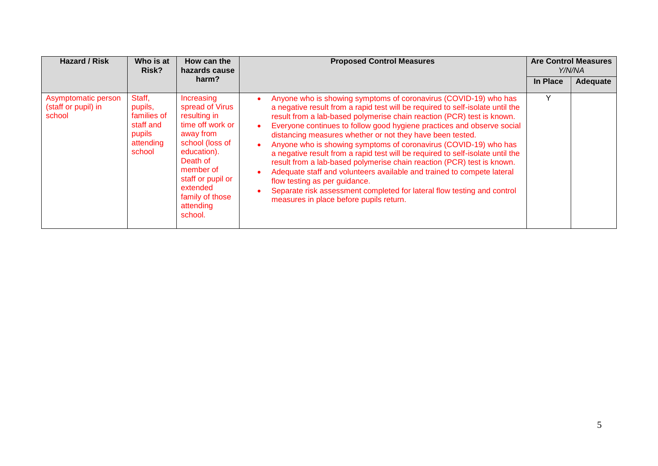| <b>Hazard / Risk</b>                                 | Who is at<br>Risk?                                                             | How can the<br>hazards cause                                                                                                                                                                                          | <b>Proposed Control Measures</b>                                                                                                                                                                                                                                                                                                                                                                                                                                                                                                                                                                                                                                                                                                                                                                                                                                         |          | <b>Are Control Measures</b><br>Y/N/NA |
|------------------------------------------------------|--------------------------------------------------------------------------------|-----------------------------------------------------------------------------------------------------------------------------------------------------------------------------------------------------------------------|--------------------------------------------------------------------------------------------------------------------------------------------------------------------------------------------------------------------------------------------------------------------------------------------------------------------------------------------------------------------------------------------------------------------------------------------------------------------------------------------------------------------------------------------------------------------------------------------------------------------------------------------------------------------------------------------------------------------------------------------------------------------------------------------------------------------------------------------------------------------------|----------|---------------------------------------|
|                                                      |                                                                                | harm?                                                                                                                                                                                                                 |                                                                                                                                                                                                                                                                                                                                                                                                                                                                                                                                                                                                                                                                                                                                                                                                                                                                          | In Place | Adequate                              |
| Asymptomatic person<br>(staff or pupil) in<br>school | Staff,<br>pupils,<br>families of<br>staff and<br>pupils<br>attending<br>school | Increasing<br>spread of Virus<br>resulting in<br>time off work or<br>away from<br>school (loss of<br>education).<br>Death of<br>member of<br>staff or pupil or<br>extended<br>family of those<br>attending<br>school. | Anyone who is showing symptoms of coronavirus (COVID-19) who has<br>a negative result from a rapid test will be required to self-isolate until the<br>result from a lab-based polymerise chain reaction (PCR) test is known.<br>Everyone continues to follow good hygiene practices and observe social<br>٠<br>distancing measures whether or not they have been tested.<br>Anyone who is showing symptoms of coronavirus (COVID-19) who has<br>$\bullet$<br>a negative result from a rapid test will be required to self-isolate until the<br>result from a lab-based polymerise chain reaction (PCR) test is known.<br>Adequate staff and volunteers available and trained to compete lateral<br>$\bullet$<br>flow testing as per guidance.<br>Separate risk assessment completed for lateral flow testing and control<br>٠<br>measures in place before pupils return. | Y        |                                       |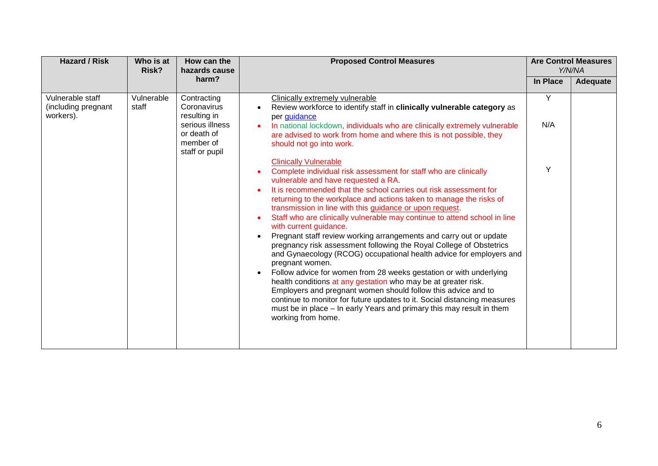| <b>Hazard / Risk</b>                                 | Who is at<br>Risk?  | How can the<br>hazards cause                                                                                | <b>Proposed Control Measures</b>                                                                                                                                                                                                                                                                                                                                                                                                                                                                                                                                                                                                                                                                                                                                                                                                                                                                                                                                                                                                                                                                                                      | <b>Are Control Measures</b><br>Y/N/NA |          |
|------------------------------------------------------|---------------------|-------------------------------------------------------------------------------------------------------------|---------------------------------------------------------------------------------------------------------------------------------------------------------------------------------------------------------------------------------------------------------------------------------------------------------------------------------------------------------------------------------------------------------------------------------------------------------------------------------------------------------------------------------------------------------------------------------------------------------------------------------------------------------------------------------------------------------------------------------------------------------------------------------------------------------------------------------------------------------------------------------------------------------------------------------------------------------------------------------------------------------------------------------------------------------------------------------------------------------------------------------------|---------------------------------------|----------|
|                                                      |                     | harm?                                                                                                       |                                                                                                                                                                                                                                                                                                                                                                                                                                                                                                                                                                                                                                                                                                                                                                                                                                                                                                                                                                                                                                                                                                                                       | In Place                              | Adequate |
| Vulnerable staff<br>(including pregnant<br>workers). | Vulnerable<br>staff | Contracting<br>Coronavirus<br>resulting in<br>serious illness<br>or death of<br>member of<br>staff or pupil | Clinically extremely vulnerable<br>Review workforce to identify staff in clinically vulnerable category as<br>per guidance<br>In national lockdown, individuals who are clinically extremely vulnerable<br>are advised to work from home and where this is not possible, they<br>should not go into work.                                                                                                                                                                                                                                                                                                                                                                                                                                                                                                                                                                                                                                                                                                                                                                                                                             | Y<br>N/A                              |          |
|                                                      |                     |                                                                                                             | <b>Clinically Vulnerable</b><br>Complete individual risk assessment for staff who are clinically<br>$\bullet$<br>vulnerable and have requested a RA.<br>It is recommended that the school carries out risk assessment for<br>returning to the workplace and actions taken to manage the risks of<br>transmission in line with this guidance or upon request.<br>Staff who are clinically vulnerable may continue to attend school in line<br>$\bullet$<br>with current guidance.<br>Pregnant staff review working arrangements and carry out or update<br>$\bullet$<br>pregnancy risk assessment following the Royal College of Obstetrics<br>and Gynaecology (RCOG) occupational health advice for employers and<br>pregnant women.<br>Follow advice for women from 28 weeks gestation or with underlying<br>$\bullet$<br>health conditions at any gestation who may be at greater risk.<br>Employers and pregnant women should follow this advice and to<br>continue to monitor for future updates to it. Social distancing measures<br>must be in place - In early Years and primary this may result in them<br>working from home. | Y                                     |          |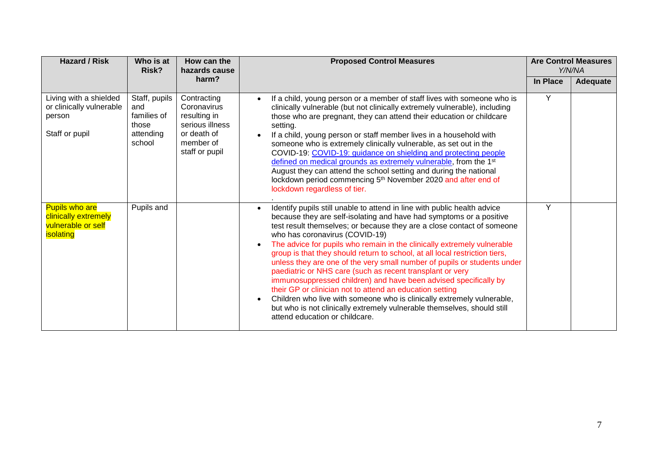| <b>Hazard / Risk</b>                                                             | Who is at<br>How can the<br><b>Proposed Control Measures</b><br>Risk?<br>hazards cause |                                                                                                             |                                                                                                                                                                                                                                                                                                                                                                                                                                                                                                                                                                                                                                                                                                                                                                                                                                                                                                                              | <b>Are Control Measures</b><br>Y/N/NA |          |
|----------------------------------------------------------------------------------|----------------------------------------------------------------------------------------|-------------------------------------------------------------------------------------------------------------|------------------------------------------------------------------------------------------------------------------------------------------------------------------------------------------------------------------------------------------------------------------------------------------------------------------------------------------------------------------------------------------------------------------------------------------------------------------------------------------------------------------------------------------------------------------------------------------------------------------------------------------------------------------------------------------------------------------------------------------------------------------------------------------------------------------------------------------------------------------------------------------------------------------------------|---------------------------------------|----------|
|                                                                                  |                                                                                        | harm?                                                                                                       |                                                                                                                                                                                                                                                                                                                                                                                                                                                                                                                                                                                                                                                                                                                                                                                                                                                                                                                              | In Place                              | Adequate |
| Living with a shielded<br>or clinically vulnerable<br>person<br>Staff or pupil   | Staff, pupils<br>and<br>families of<br>those<br>attending<br>school                    | Contracting<br>Coronavirus<br>resulting in<br>serious illness<br>or death of<br>member of<br>staff or pupil | If a child, young person or a member of staff lives with someone who is<br>$\bullet$<br>clinically vulnerable (but not clinically extremely vulnerable), including<br>those who are pregnant, they can attend their education or childcare<br>setting.<br>If a child, young person or staff member lives in a household with<br>someone who is extremely clinically vulnerable, as set out in the<br>COVID-19: COVID-19: quidance on shielding and protecting people<br>defined on medical grounds as extremely vulnerable, from the 1 <sup>st</sup><br>August they can attend the school setting and during the national<br>lockdown period commencing 5 <sup>th</sup> November 2020 and after end of<br>lockdown regardless of tier.                                                                                                                                                                                       | Y                                     |          |
| <b>Pupils who are</b><br>clinically extremely<br>vulnerable or self<br>isolating | Pupils and                                                                             |                                                                                                             | Identify pupils still unable to attend in line with public health advice<br>$\bullet$<br>because they are self-isolating and have had symptoms or a positive<br>test result themselves; or because they are a close contact of someone<br>who has coronavirus (COVID-19)<br>The advice for pupils who remain in the clinically extremely vulnerable<br>$\bullet$<br>group is that they should return to school, at all local restriction tiers,<br>unless they are one of the very small number of pupils or students under<br>paediatric or NHS care (such as recent transplant or very<br>immunosuppressed children) and have been advised specifically by<br>their GP or clinician not to attend an education setting<br>Children who live with someone who is clinically extremely vulnerable,<br>$\bullet$<br>but who is not clinically extremely vulnerable themselves, should still<br>attend education or childcare. | Y                                     |          |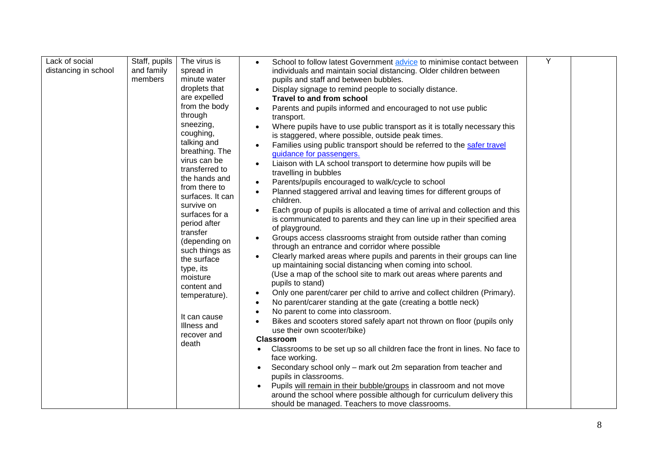| Lack of social       | Staff, pupils | The virus is                  | School to follow latest Government advice to minimise contact between                  | Y |  |
|----------------------|---------------|-------------------------------|----------------------------------------------------------------------------------------|---|--|
| distancing in school | and family    | spread in                     | individuals and maintain social distancing. Older children between                     |   |  |
|                      | members       | minute water                  | pupils and staff and between bubbles.                                                  |   |  |
|                      |               | droplets that                 | Display signage to remind people to socially distance.                                 |   |  |
|                      |               | are expelled                  | Travel to and from school                                                              |   |  |
|                      |               | from the body                 | Parents and pupils informed and encouraged to not use public                           |   |  |
|                      |               | through                       | transport.                                                                             |   |  |
|                      |               | sneezing,                     | Where pupils have to use public transport as it is totally necessary this              |   |  |
|                      |               | coughing,                     | is staggered, where possible, outside peak times.                                      |   |  |
|                      |               | talking and                   | Families using public transport should be referred to the safer travel                 |   |  |
|                      |               | breathing. The                | guidance for passengers.                                                               |   |  |
|                      |               | virus can be                  | Liaison with LA school transport to determine how pupils will be                       |   |  |
|                      |               | transferred to                | travelling in bubbles                                                                  |   |  |
|                      |               | the hands and                 | Parents/pupils encouraged to walk/cycle to school                                      |   |  |
|                      |               | from there to                 | Planned staggered arrival and leaving times for different groups of                    |   |  |
|                      |               | surfaces. It can              | children.                                                                              |   |  |
|                      |               | survive on                    | Each group of pupils is allocated a time of arrival and collection and this            |   |  |
|                      |               | surfaces for a                | is communicated to parents and they can line up in their specified area                |   |  |
|                      |               | period after                  | of playground.                                                                         |   |  |
|                      |               | transfer                      | Groups access classrooms straight from outside rather than coming                      |   |  |
|                      |               | (depending on                 | through an entrance and corridor where possible                                        |   |  |
|                      |               | such things as<br>the surface | Clearly marked areas where pupils and parents in their groups can line                 |   |  |
|                      |               | type, its                     | up maintaining social distancing when coming into school.                              |   |  |
|                      |               | moisture                      | (Use a map of the school site to mark out areas where parents and                      |   |  |
|                      |               | content and                   | pupils to stand)                                                                       |   |  |
|                      |               | temperature).                 | Only one parent/carer per child to arrive and collect children (Primary).<br>$\bullet$ |   |  |
|                      |               |                               | No parent/carer standing at the gate (creating a bottle neck)                          |   |  |
|                      |               |                               | No parent to come into classroom.                                                      |   |  |
|                      |               | It can cause                  | Bikes and scooters stored safely apart not thrown on floor (pupils only                |   |  |
|                      |               | Illness and                   | use their own scooter/bike)                                                            |   |  |
|                      |               | recover and<br>death          | <b>Classroom</b>                                                                       |   |  |
|                      |               |                               | Classrooms to be set up so all children face the front in lines. No face to            |   |  |
|                      |               |                               | face working.                                                                          |   |  |
|                      |               |                               | Secondary school only – mark out 2m separation from teacher and                        |   |  |
|                      |               |                               | pupils in classrooms.                                                                  |   |  |
|                      |               |                               | Pupils will remain in their bubble/groups in classroom and not move                    |   |  |
|                      |               |                               | around the school where possible although for curriculum delivery this                 |   |  |
|                      |               |                               | should be managed. Teachers to move classrooms.                                        |   |  |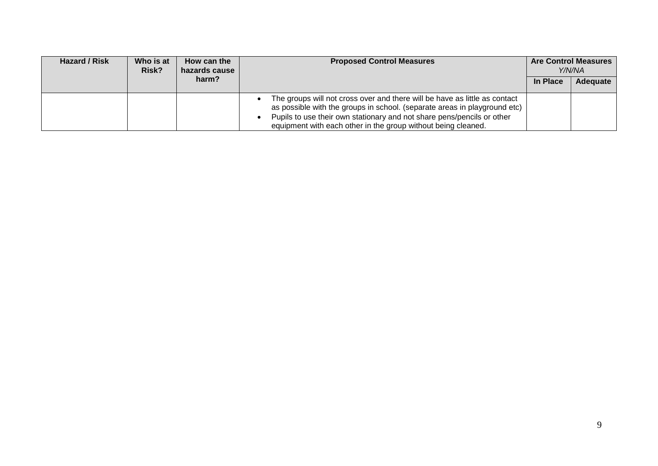| Hazard / Risk | Who is at<br>Risk? | How can the<br>hazards cause | <b>Proposed Control Measures</b>                                                                                                                                                                                                                                                                   |          | <b>Are Control Measures</b><br>Y/N/NA |
|---------------|--------------------|------------------------------|----------------------------------------------------------------------------------------------------------------------------------------------------------------------------------------------------------------------------------------------------------------------------------------------------|----------|---------------------------------------|
|               |                    | harm?                        |                                                                                                                                                                                                                                                                                                    | In Place | <b>Adequate</b>                       |
|               |                    |                              | The groups will not cross over and there will be have as little as contact<br>as possible with the groups in school. (separate areas in playground etc)<br>Pupils to use their own stationary and not share pens/pencils or other<br>equipment with each other in the group without being cleaned. |          |                                       |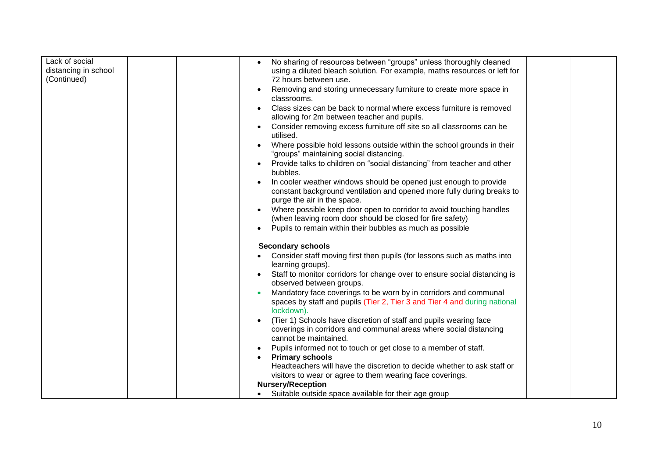| Lack of social       |  | No sharing of resources between "groups" unless thoroughly cleaned                                                |  |
|----------------------|--|-------------------------------------------------------------------------------------------------------------------|--|
| distancing in school |  | using a diluted bleach solution. For example, maths resources or left for                                         |  |
| (Continued)          |  | 72 hours between use.                                                                                             |  |
|                      |  | Removing and storing unnecessary furniture to create more space in                                                |  |
|                      |  | classrooms.                                                                                                       |  |
|                      |  | Class sizes can be back to normal where excess furniture is removed                                               |  |
|                      |  | allowing for 2m between teacher and pupils.                                                                       |  |
|                      |  | Consider removing excess furniture off site so all classrooms can be<br>utilised.                                 |  |
|                      |  | Where possible hold lessons outside within the school grounds in their<br>"groups" maintaining social distancing. |  |
|                      |  | Provide talks to children on "social distancing" from teacher and other<br>bubbles.                               |  |
|                      |  | In cooler weather windows should be opened just enough to provide                                                 |  |
|                      |  | constant background ventilation and opened more fully during breaks to                                            |  |
|                      |  | purge the air in the space.                                                                                       |  |
|                      |  | Where possible keep door open to corridor to avoid touching handles                                               |  |
|                      |  | (when leaving room door should be closed for fire safety)                                                         |  |
|                      |  | Pupils to remain within their bubbles as much as possible                                                         |  |
|                      |  | <b>Secondary schools</b>                                                                                          |  |
|                      |  | Consider staff moving first then pupils (for lessons such as maths into                                           |  |
|                      |  | learning groups).                                                                                                 |  |
|                      |  | Staff to monitor corridors for change over to ensure social distancing is                                         |  |
|                      |  | observed between groups.                                                                                          |  |
|                      |  | Mandatory face coverings to be worn by in corridors and communal                                                  |  |
|                      |  | spaces by staff and pupils (Tier 2, Tier 3 and Tier 4 and during national<br>lockdown).                           |  |
|                      |  | (Tier 1) Schools have discretion of staff and pupils wearing face                                                 |  |
|                      |  | coverings in corridors and communal areas where social distancing                                                 |  |
|                      |  | cannot be maintained.                                                                                             |  |
|                      |  | Pupils informed not to touch or get close to a member of staff.                                                   |  |
|                      |  | <b>Primary schools</b>                                                                                            |  |
|                      |  | Headteachers will have the discretion to decide whether to ask staff or                                           |  |
|                      |  | visitors to wear or agree to them wearing face coverings.                                                         |  |
|                      |  | <b>Nursery/Reception</b>                                                                                          |  |
|                      |  | Suitable outside space available for their age group                                                              |  |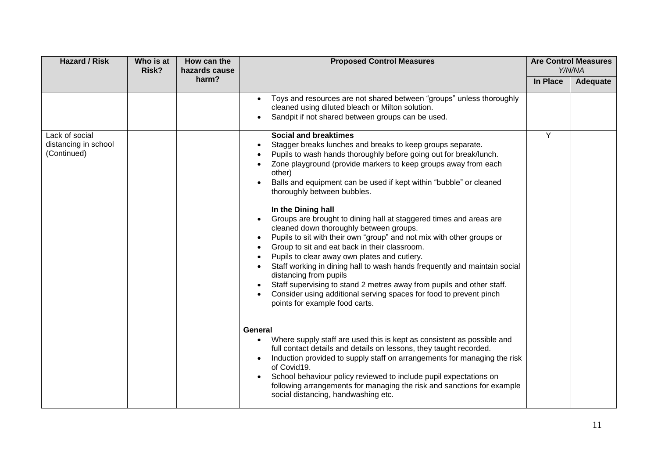| <b>Hazard / Risk</b>                                  |  | How can the<br>Who is at<br>Risk?<br>hazards cause | <b>Proposed Control Measures</b>                                                                                                                                                                                                                                                                                                                                                                                                                                                                                                                                                                                                                                                                                                                                                                                                                                                                                                                                                                                                                                                                                                                                                                                                                                                     | <b>Are Control Measures</b><br>Y/N/NA |          |
|-------------------------------------------------------|--|----------------------------------------------------|--------------------------------------------------------------------------------------------------------------------------------------------------------------------------------------------------------------------------------------------------------------------------------------------------------------------------------------------------------------------------------------------------------------------------------------------------------------------------------------------------------------------------------------------------------------------------------------------------------------------------------------------------------------------------------------------------------------------------------------------------------------------------------------------------------------------------------------------------------------------------------------------------------------------------------------------------------------------------------------------------------------------------------------------------------------------------------------------------------------------------------------------------------------------------------------------------------------------------------------------------------------------------------------|---------------------------------------|----------|
|                                                       |  | harm?                                              |                                                                                                                                                                                                                                                                                                                                                                                                                                                                                                                                                                                                                                                                                                                                                                                                                                                                                                                                                                                                                                                                                                                                                                                                                                                                                      | In Place                              | Adequate |
|                                                       |  |                                                    | Toys and resources are not shared between "groups" unless thoroughly<br>cleaned using diluted bleach or Milton solution.<br>Sandpit if not shared between groups can be used.                                                                                                                                                                                                                                                                                                                                                                                                                                                                                                                                                                                                                                                                                                                                                                                                                                                                                                                                                                                                                                                                                                        |                                       |          |
| Lack of social<br>distancing in school<br>(Continued) |  |                                                    | <b>Social and breaktimes</b><br>Stagger breaks lunches and breaks to keep groups separate.<br>Pupils to wash hands thoroughly before going out for break/lunch.<br>Zone playground (provide markers to keep groups away from each<br>other)<br>Balls and equipment can be used if kept within "bubble" or cleaned<br>thoroughly between bubbles.<br>In the Dining hall<br>Groups are brought to dining hall at staggered times and areas are<br>cleaned down thoroughly between groups.<br>Pupils to sit with their own "group" and not mix with other groups or<br>Group to sit and eat back in their classroom.<br>Pupils to clear away own plates and cutlery.<br>Staff working in dining hall to wash hands frequently and maintain social<br>distancing from pupils<br>Staff supervising to stand 2 metres away from pupils and other staff.<br>Consider using additional serving spaces for food to prevent pinch<br>points for example food carts.<br>General<br>Where supply staff are used this is kept as consistent as possible and<br>full contact details and details on lessons, they taught recorded.<br>Induction provided to supply staff on arrangements for managing the risk<br>of Covid19.<br>School behaviour policy reviewed to include pupil expectations on | Y                                     |          |
|                                                       |  |                                                    | following arrangements for managing the risk and sanctions for example<br>social distancing, handwashing etc.                                                                                                                                                                                                                                                                                                                                                                                                                                                                                                                                                                                                                                                                                                                                                                                                                                                                                                                                                                                                                                                                                                                                                                        |                                       |          |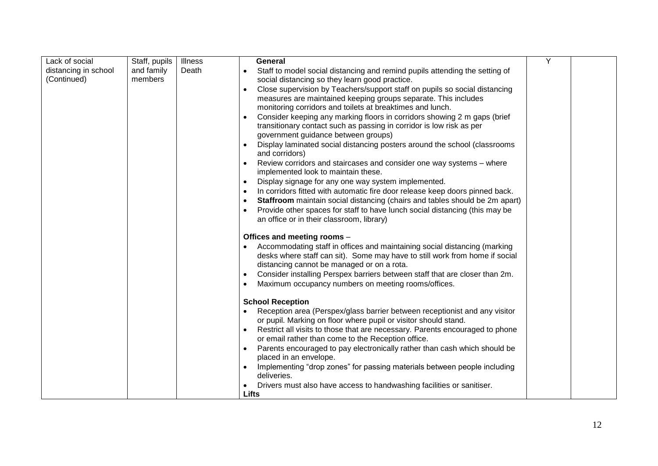| Lack of social       | Staff, pupils | Illness | <b>General</b>                                                                                                                                           | Y |  |
|----------------------|---------------|---------|----------------------------------------------------------------------------------------------------------------------------------------------------------|---|--|
| distancing in school | and family    | Death   | Staff to model social distancing and remind pupils attending the setting of<br>$\bullet$                                                                 |   |  |
| (Continued)          | members       |         | social distancing so they learn good practice.                                                                                                           |   |  |
|                      |               |         | Close supervision by Teachers/support staff on pupils so social distancing                                                                               |   |  |
|                      |               |         | measures are maintained keeping groups separate. This includes                                                                                           |   |  |
|                      |               |         | monitoring corridors and toilets at breaktimes and lunch.                                                                                                |   |  |
|                      |               |         | Consider keeping any marking floors in corridors showing 2 m gaps (brief                                                                                 |   |  |
|                      |               |         | transitionary contact such as passing in corridor is low risk as per                                                                                     |   |  |
|                      |               |         | government guidance between groups)                                                                                                                      |   |  |
|                      |               |         | Display laminated social distancing posters around the school (classrooms<br>and corridors)                                                              |   |  |
|                      |               |         | Review corridors and staircases and consider one way systems - where<br>implemented look to maintain these.                                              |   |  |
|                      |               |         | Display signage for any one way system implemented.<br>$\bullet$                                                                                         |   |  |
|                      |               |         | In corridors fitted with automatic fire door release keep doors pinned back.                                                                             |   |  |
|                      |               |         | Staffroom maintain social distancing (chairs and tables should be 2m apart)                                                                              |   |  |
|                      |               |         | Provide other spaces for staff to have lunch social distancing (this may be                                                                              |   |  |
|                      |               |         | an office or in their classroom, library)                                                                                                                |   |  |
|                      |               |         |                                                                                                                                                          |   |  |
|                      |               |         | Offices and meeting rooms -                                                                                                                              |   |  |
|                      |               |         | Accommodating staff in offices and maintaining social distancing (marking<br>desks where staff can sit). Some may have to still work from home if social |   |  |
|                      |               |         | distancing cannot be managed or on a rota.                                                                                                               |   |  |
|                      |               |         | Consider installing Perspex barriers between staff that are closer than 2m.                                                                              |   |  |
|                      |               |         | Maximum occupancy numbers on meeting rooms/offices.                                                                                                      |   |  |
|                      |               |         |                                                                                                                                                          |   |  |
|                      |               |         | <b>School Reception</b>                                                                                                                                  |   |  |
|                      |               |         | Reception area (Perspex/glass barrier between receptionist and any visitor                                                                               |   |  |
|                      |               |         | or pupil. Marking on floor where pupil or visitor should stand.                                                                                          |   |  |
|                      |               |         | Restrict all visits to those that are necessary. Parents encouraged to phone                                                                             |   |  |
|                      |               |         | or email rather than come to the Reception office.                                                                                                       |   |  |
|                      |               |         | Parents encouraged to pay electronically rather than cash which should be                                                                                |   |  |
|                      |               |         | placed in an envelope.                                                                                                                                   |   |  |
|                      |               |         | Implementing "drop zones" for passing materials between people including<br>deliveries.                                                                  |   |  |
|                      |               |         | Drivers must also have access to handwashing facilities or sanitiser.                                                                                    |   |  |
|                      |               |         | <b>Lifts</b>                                                                                                                                             |   |  |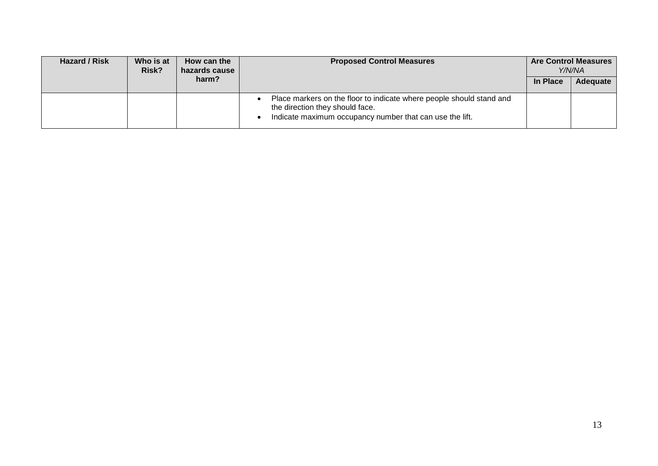| Hazard / Risk | Who is at<br>Risk? | How can the<br>hazards cause | <b>Proposed Control Measures</b>                                                                                                                                    |          | <b>Are Control Measures</b><br>Y/N/NA |
|---------------|--------------------|------------------------------|---------------------------------------------------------------------------------------------------------------------------------------------------------------------|----------|---------------------------------------|
|               |                    | harm?                        |                                                                                                                                                                     | In Place | Adequate                              |
|               |                    |                              | Place markers on the floor to indicate where people should stand and<br>the direction they should face.<br>Indicate maximum occupancy number that can use the lift. |          |                                       |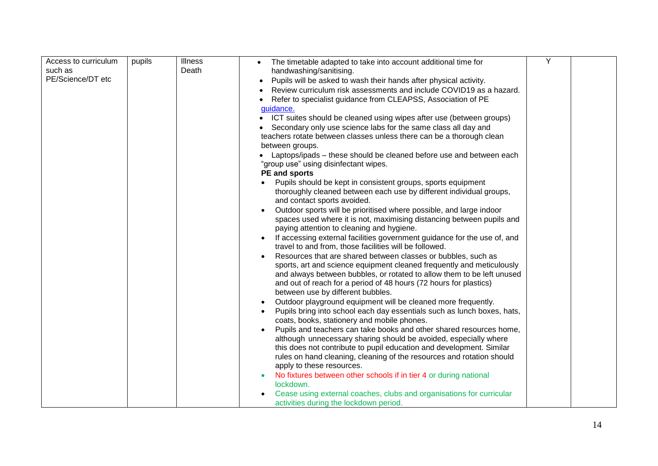| Access to curriculum | pupils | <b>Illness</b> | The timetable adapted to take into account additional time for                 | Υ |  |
|----------------------|--------|----------------|--------------------------------------------------------------------------------|---|--|
| such as              |        | Death          | handwashing/sanitising.                                                        |   |  |
| PE/Science/DT etc    |        |                | Pupils will be asked to wash their hands after physical activity.<br>$\bullet$ |   |  |
|                      |        |                | Review curriculum risk assessments and include COVID19 as a hazard.            |   |  |
|                      |        |                | Refer to specialist guidance from CLEAPSS, Association of PE                   |   |  |
|                      |        |                | quidance.                                                                      |   |  |
|                      |        |                | ICT suites should be cleaned using wipes after use (between groups)            |   |  |
|                      |        |                | Secondary only use science labs for the same class all day and                 |   |  |
|                      |        |                | teachers rotate between classes unless there can be a thorough clean           |   |  |
|                      |        |                | between groups.                                                                |   |  |
|                      |        |                | Laptops/ipads – these should be cleaned before use and between each            |   |  |
|                      |        |                | "group use" using disinfectant wipes.                                          |   |  |
|                      |        |                | PE and sports                                                                  |   |  |
|                      |        |                | Pupils should be kept in consistent groups, sports equipment                   |   |  |
|                      |        |                | thoroughly cleaned between each use by different individual groups,            |   |  |
|                      |        |                | and contact sports avoided.                                                    |   |  |
|                      |        |                | Outdoor sports will be prioritised where possible, and large indoor            |   |  |
|                      |        |                | spaces used where it is not, maximising distancing between pupils and          |   |  |
|                      |        |                | paying attention to cleaning and hygiene.                                      |   |  |
|                      |        |                | If accessing external facilities government guidance for the use of, and       |   |  |
|                      |        |                | travel to and from, those facilities will be followed.                         |   |  |
|                      |        |                | Resources that are shared between classes or bubbles, such as                  |   |  |
|                      |        |                | sports, art and science equipment cleaned frequently and meticulously          |   |  |
|                      |        |                | and always between bubbles, or rotated to allow them to be left unused         |   |  |
|                      |        |                | and out of reach for a period of 48 hours (72 hours for plastics)              |   |  |
|                      |        |                | between use by different bubbles.                                              |   |  |
|                      |        |                | Outdoor playground equipment will be cleaned more frequently.<br>$\bullet$     |   |  |
|                      |        |                | Pupils bring into school each day essentials such as lunch boxes, hats,        |   |  |
|                      |        |                | coats, books, stationery and mobile phones.                                    |   |  |
|                      |        |                | Pupils and teachers can take books and other shared resources home,            |   |  |
|                      |        |                | although unnecessary sharing should be avoided, especially where               |   |  |
|                      |        |                | this does not contribute to pupil education and development. Similar           |   |  |
|                      |        |                | rules on hand cleaning, cleaning of the resources and rotation should          |   |  |
|                      |        |                | apply to these resources.                                                      |   |  |
|                      |        |                | No fixtures between other schools if in tier 4 or during national              |   |  |
|                      |        |                | lockdown.                                                                      |   |  |
|                      |        |                | Cease using external coaches, clubs and organisations for curricular           |   |  |
|                      |        |                | activities during the lockdown period.                                         |   |  |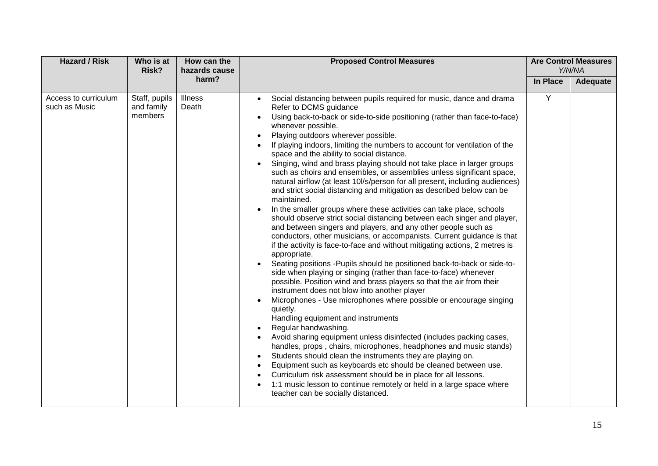| <b>Hazard / Risk</b>                  | Who is at<br>Risk?                     | <b>Proposed Control Measures</b><br>How can the<br>hazards cause<br>harm? | <b>Are Control Measures</b><br>Y/N/NA                                                                                                                                                                                                                                                                                                                                                                                                                                                                                                                                                                                                                                                                                                                                                                                                                                                                                                                                                                                                                                                                                                                                                                                                                                                                                                                                                                                                                                                                                                                                                                                                                                                                                                                                                                                                                                                                                                                                                                    |                 |          |
|---------------------------------------|----------------------------------------|---------------------------------------------------------------------------|----------------------------------------------------------------------------------------------------------------------------------------------------------------------------------------------------------------------------------------------------------------------------------------------------------------------------------------------------------------------------------------------------------------------------------------------------------------------------------------------------------------------------------------------------------------------------------------------------------------------------------------------------------------------------------------------------------------------------------------------------------------------------------------------------------------------------------------------------------------------------------------------------------------------------------------------------------------------------------------------------------------------------------------------------------------------------------------------------------------------------------------------------------------------------------------------------------------------------------------------------------------------------------------------------------------------------------------------------------------------------------------------------------------------------------------------------------------------------------------------------------------------------------------------------------------------------------------------------------------------------------------------------------------------------------------------------------------------------------------------------------------------------------------------------------------------------------------------------------------------------------------------------------------------------------------------------------------------------------------------------------|-----------------|----------|
|                                       |                                        |                                                                           |                                                                                                                                                                                                                                                                                                                                                                                                                                                                                                                                                                                                                                                                                                                                                                                                                                                                                                                                                                                                                                                                                                                                                                                                                                                                                                                                                                                                                                                                                                                                                                                                                                                                                                                                                                                                                                                                                                                                                                                                          | <b>In Place</b> | Adequate |
| Access to curriculum<br>such as Music | Staff, pupils<br>and family<br>members | <b>Illness</b><br>Death                                                   | Social distancing between pupils required for music, dance and drama<br>Refer to DCMS guidance<br>Using back-to-back or side-to-side positioning (rather than face-to-face)<br>whenever possible.<br>Playing outdoors wherever possible.<br>If playing indoors, limiting the numbers to account for ventilation of the<br>space and the ability to social distance.<br>Singing, wind and brass playing should not take place in larger groups<br>such as choirs and ensembles, or assemblies unless significant space,<br>natural airflow (at least 10l/s/person for all present, including audiences)<br>and strict social distancing and mitigation as described below can be<br>maintained.<br>In the smaller groups where these activities can take place, schools<br>should observe strict social distancing between each singer and player,<br>and between singers and players, and any other people such as<br>conductors, other musicians, or accompanists. Current guidance is that<br>if the activity is face-to-face and without mitigating actions, 2 metres is<br>appropriate.<br>Seating positions - Pupils should be positioned back-to-back or side-to-<br>$\bullet$<br>side when playing or singing (rather than face-to-face) whenever<br>possible. Position wind and brass players so that the air from their<br>instrument does not blow into another player<br>Microphones - Use microphones where possible or encourage singing<br>quietly.<br>Handling equipment and instruments<br>Regular handwashing.<br>Avoid sharing equipment unless disinfected (includes packing cases,<br>handles, props, chairs, microphones, headphones and music stands)<br>Students should clean the instruments they are playing on.<br>$\bullet$<br>Equipment such as keyboards etc should be cleaned between use.<br>Curriculum risk assessment should be in place for all lessons.<br>1:1 music lesson to continue remotely or held in a large space where<br>teacher can be socially distanced. | Y               |          |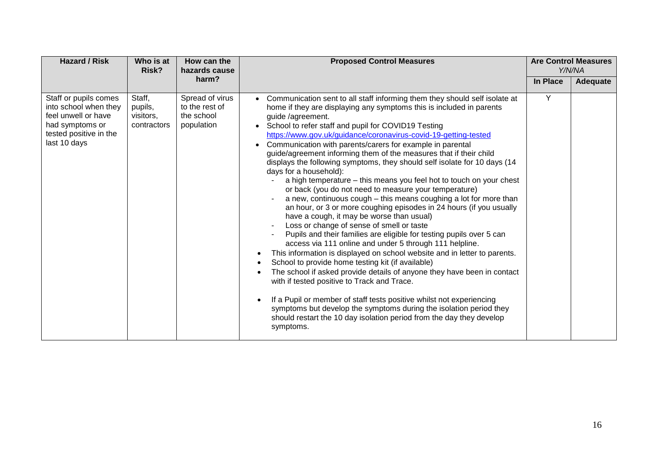| <b>Hazard / Risk</b>                                                                                                               | Who is at<br>Risk?                            | How can the<br>hazards cause                                  | <b>Proposed Control Measures</b>                                                                                                                                                                                                                                                                                                                                                                                                                                                                                                                                                                                                                                                                                                                                                                                                                                                                                                                                                                                                                                                                                                                                                                                                                                                                                                                                                                                                                                                                                                                                              |          | <b>Are Control Measures</b><br>Y/N/NA |
|------------------------------------------------------------------------------------------------------------------------------------|-----------------------------------------------|---------------------------------------------------------------|-------------------------------------------------------------------------------------------------------------------------------------------------------------------------------------------------------------------------------------------------------------------------------------------------------------------------------------------------------------------------------------------------------------------------------------------------------------------------------------------------------------------------------------------------------------------------------------------------------------------------------------------------------------------------------------------------------------------------------------------------------------------------------------------------------------------------------------------------------------------------------------------------------------------------------------------------------------------------------------------------------------------------------------------------------------------------------------------------------------------------------------------------------------------------------------------------------------------------------------------------------------------------------------------------------------------------------------------------------------------------------------------------------------------------------------------------------------------------------------------------------------------------------------------------------------------------------|----------|---------------------------------------|
|                                                                                                                                    |                                               | harm?                                                         |                                                                                                                                                                                                                                                                                                                                                                                                                                                                                                                                                                                                                                                                                                                                                                                                                                                                                                                                                                                                                                                                                                                                                                                                                                                                                                                                                                                                                                                                                                                                                                               | In Place | <b>Adequate</b>                       |
| Staff or pupils comes<br>into school when they<br>feel unwell or have<br>had symptoms or<br>tested positive in the<br>last 10 days | Staff,<br>pupils,<br>visitors,<br>contractors | Spread of virus<br>to the rest of<br>the school<br>population | Communication sent to all staff informing them they should self isolate at<br>home if they are displaying any symptoms this is included in parents<br>guide /agreement.<br>School to refer staff and pupil for COVID19 Testing<br>https://www.gov.uk/guidance/coronavirus-covid-19-getting-tested<br>Communication with parents/carers for example in parental<br>$\bullet$<br>guide/agreement informing them of the measures that if their child<br>displays the following symptoms, they should self isolate for 10 days (14<br>days for a household):<br>a high temperature - this means you feel hot to touch on your chest<br>or back (you do not need to measure your temperature)<br>a new, continuous cough – this means coughing a lot for more than<br>an hour, or 3 or more coughing episodes in 24 hours (if you usually<br>have a cough, it may be worse than usual)<br>Loss or change of sense of smell or taste<br>Pupils and their families are eligible for testing pupils over 5 can<br>access via 111 online and under 5 through 111 helpline.<br>This information is displayed on school website and in letter to parents.<br>$\bullet$<br>School to provide home testing kit (if available)<br>The school if asked provide details of anyone they have been in contact<br>with if tested positive to Track and Trace.<br>If a Pupil or member of staff tests positive whilst not experiencing<br>symptoms but develop the symptoms during the isolation period they<br>should restart the 10 day isolation period from the day they develop<br>symptoms. | Y        |                                       |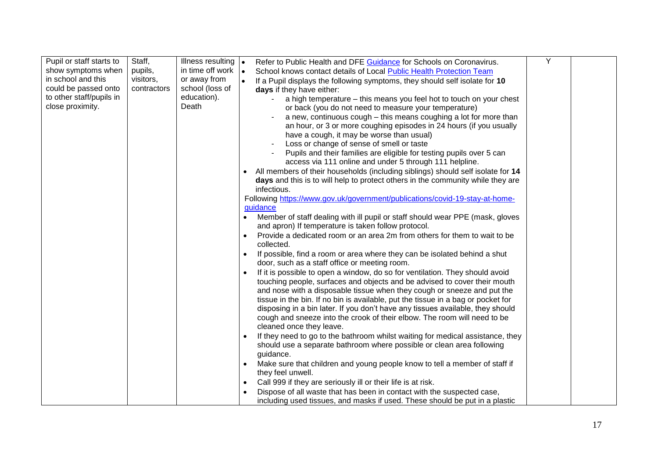| Pupil or staff starts to | Staff,      | Illness resulting $\vert \bullet \vert$ | Refer to Public Health and DFE Guidance for Schools on Coronavirus.                       | Υ |  |
|--------------------------|-------------|-----------------------------------------|-------------------------------------------------------------------------------------------|---|--|
| show symptoms when       | pupils,     | in time off work                        | I۰<br>School knows contact details of Local Public Health Protection Team                 |   |  |
| in school and this       | visitors,   | or away from                            | If a Pupil displays the following symptoms, they should self isolate for 10<br>$\bullet$  |   |  |
| could be passed onto     | contractors | school (loss of                         | days if they have either:                                                                 |   |  |
| to other staff/pupils in |             | education).                             | a high temperature – this means you feel hot to touch on your chest                       |   |  |
| close proximity.         |             | Death                                   | or back (you do not need to measure your temperature)                                     |   |  |
|                          |             |                                         | a new, continuous cough – this means coughing a lot for more than                         |   |  |
|                          |             |                                         | an hour, or 3 or more coughing episodes in 24 hours (if you usually                       |   |  |
|                          |             |                                         | have a cough, it may be worse than usual)                                                 |   |  |
|                          |             |                                         | Loss or change of sense of smell or taste                                                 |   |  |
|                          |             |                                         | Pupils and their families are eligible for testing pupils over 5 can                      |   |  |
|                          |             |                                         | access via 111 online and under 5 through 111 helpline.                                   |   |  |
|                          |             |                                         | All members of their households (including siblings) should self isolate for 14           |   |  |
|                          |             |                                         | days and this is to will help to protect others in the community while they are           |   |  |
|                          |             |                                         | infectious.                                                                               |   |  |
|                          |             |                                         | Following https://www.gov.uk/government/publications/covid-19-stay-at-home-               |   |  |
|                          |             |                                         | guidance                                                                                  |   |  |
|                          |             |                                         | Member of staff dealing with ill pupil or staff should wear PPE (mask, gloves             |   |  |
|                          |             |                                         | and apron) If temperature is taken follow protocol.                                       |   |  |
|                          |             |                                         | Provide a dedicated room or an area 2m from others for them to wait to be<br>$\bullet$    |   |  |
|                          |             |                                         | collected.                                                                                |   |  |
|                          |             |                                         | If possible, find a room or area where they can be isolated behind a shut<br>$\bullet$    |   |  |
|                          |             |                                         | door, such as a staff office or meeting room.                                             |   |  |
|                          |             |                                         | If it is possible to open a window, do so for ventilation. They should avoid<br>$\bullet$ |   |  |
|                          |             |                                         | touching people, surfaces and objects and be advised to cover their mouth                 |   |  |
|                          |             |                                         | and nose with a disposable tissue when they cough or sneeze and put the                   |   |  |
|                          |             |                                         | tissue in the bin. If no bin is available, put the tissue in a bag or pocket for          |   |  |
|                          |             |                                         | disposing in a bin later. If you don't have any tissues available, they should            |   |  |
|                          |             |                                         | cough and sneeze into the crook of their elbow. The room will need to be                  |   |  |
|                          |             |                                         | cleaned once they leave.                                                                  |   |  |
|                          |             |                                         | If they need to go to the bathroom whilst waiting for medical assistance, they            |   |  |
|                          |             |                                         | should use a separate bathroom where possible or clean area following                     |   |  |
|                          |             |                                         | guidance.                                                                                 |   |  |
|                          |             |                                         | Make sure that children and young people know to tell a member of staff if<br>$\bullet$   |   |  |
|                          |             |                                         | they feel unwell.                                                                         |   |  |
|                          |             |                                         | Call 999 if they are seriously ill or their life is at risk.<br>$\bullet$                 |   |  |
|                          |             |                                         | Dispose of all waste that has been in contact with the suspected case,                    |   |  |
|                          |             |                                         | including used tissues, and masks if used. These should be put in a plastic               |   |  |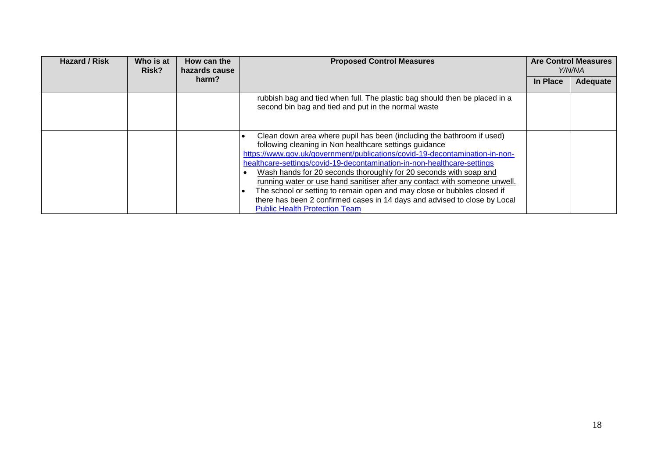| <b>Hazard / Risk</b> | Who is at<br>Risk? | How can the<br>hazards cause | <b>Proposed Control Measures</b>                                                                                                                                                                                                                                                                                                                                                                                                                                                                                                                                                                                                             | <b>Are Control Measures</b><br>Y/N/NA |          |
|----------------------|--------------------|------------------------------|----------------------------------------------------------------------------------------------------------------------------------------------------------------------------------------------------------------------------------------------------------------------------------------------------------------------------------------------------------------------------------------------------------------------------------------------------------------------------------------------------------------------------------------------------------------------------------------------------------------------------------------------|---------------------------------------|----------|
|                      |                    | harm?                        |                                                                                                                                                                                                                                                                                                                                                                                                                                                                                                                                                                                                                                              | In Place                              | Adequate |
|                      |                    |                              | rubbish bag and tied when full. The plastic bag should then be placed in a<br>second bin bag and tied and put in the normal waste                                                                                                                                                                                                                                                                                                                                                                                                                                                                                                            |                                       |          |
|                      |                    |                              | Clean down area where pupil has been (including the bathroom if used)<br>following cleaning in Non healthcare settings guidance<br>https://www.gov.uk/government/publications/covid-19-decontamination-in-non-<br>healthcare-settings/covid-19-decontamination-in-non-healthcare-settings<br>Wash hands for 20 seconds thoroughly for 20 seconds with soap and<br>running water or use hand sanitiser after any contact with someone unwell.<br>The school or setting to remain open and may close or bubbles closed if<br>there has been 2 confirmed cases in 14 days and advised to close by Local<br><b>Public Health Protection Team</b> |                                       |          |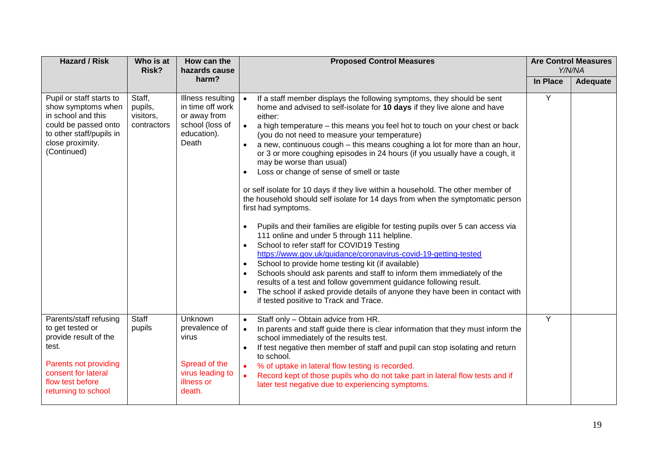| <b>Hazard / Risk</b>                                                                                                                                                    | Who is at<br>Risk?                            | How can the<br>hazards cause                                                                     | <b>Proposed Control Measures</b>                                                                                                                                                                                                                                                                                                                                                                                                                                                                                                                                                                                                                                                                                                                                                                                                                                                                                                                                                                                                                                                                                                                                                                                                                                                                                                                                                                              |          | <b>Are Control Measures</b><br>Y/N/NA |
|-------------------------------------------------------------------------------------------------------------------------------------------------------------------------|-----------------------------------------------|--------------------------------------------------------------------------------------------------|---------------------------------------------------------------------------------------------------------------------------------------------------------------------------------------------------------------------------------------------------------------------------------------------------------------------------------------------------------------------------------------------------------------------------------------------------------------------------------------------------------------------------------------------------------------------------------------------------------------------------------------------------------------------------------------------------------------------------------------------------------------------------------------------------------------------------------------------------------------------------------------------------------------------------------------------------------------------------------------------------------------------------------------------------------------------------------------------------------------------------------------------------------------------------------------------------------------------------------------------------------------------------------------------------------------------------------------------------------------------------------------------------------------|----------|---------------------------------------|
|                                                                                                                                                                         |                                               | harm?                                                                                            |                                                                                                                                                                                                                                                                                                                                                                                                                                                                                                                                                                                                                                                                                                                                                                                                                                                                                                                                                                                                                                                                                                                                                                                                                                                                                                                                                                                                               | In Place | Adequate                              |
| Pupil or staff starts to<br>show symptoms when<br>in school and this<br>could be passed onto<br>to other staff/pupils in<br>close proximity.<br>(Continued)             | Staff,<br>pupils,<br>visitors,<br>contractors | Illness resulting<br>in time off work<br>or away from<br>school (loss of<br>education).<br>Death | If a staff member displays the following symptoms, they should be sent<br>$\bullet$<br>home and advised to self-isolate for 10 days if they live alone and have<br>either:<br>a high temperature - this means you feel hot to touch on your chest or back<br>$\bullet$<br>(you do not need to measure your temperature)<br>a new, continuous cough – this means coughing a lot for more than an hour,<br>or 3 or more coughing episodes in 24 hours (if you usually have a cough, it<br>may be worse than usual)<br>Loss or change of sense of smell or taste<br>or self isolate for 10 days if they live within a household. The other member of<br>the household should self isolate for 14 days from when the symptomatic person<br>first had symptoms.<br>Pupils and their families are eligible for testing pupils over 5 can access via<br>$\bullet$<br>111 online and under 5 through 111 helpline.<br>School to refer staff for COVID19 Testing<br>$\bullet$<br>https://www.gov.uk/guidance/coronavirus-covid-19-getting-tested<br>School to provide home testing kit (if available)<br>$\bullet$<br>Schools should ask parents and staff to inform them immediately of the<br>$\bullet$<br>results of a test and follow government guidance following result.<br>The school if asked provide details of anyone they have been in contact with<br>$\bullet$<br>if tested positive to Track and Trace. | Y        |                                       |
| Parents/staff refusing<br>to get tested or<br>provide result of the<br>test.<br>Parents not providing<br>consent for lateral<br>flow test before<br>returning to school | <b>Staff</b><br>pupils                        | Unknown<br>prevalence of<br>virus<br>Spread of the<br>virus leading to<br>illness or<br>death.   | Staff only - Obtain advice from HR.<br>$\bullet$<br>In parents and staff guide there is clear information that they must inform the<br>$\bullet$<br>school immediately of the results test.<br>If test negative then member of staff and pupil can stop isolating and return<br>$\bullet$<br>to school.<br>% of uptake in lateral flow testing is recorded.<br>$\bullet$<br>Record kept of those pupils who do not take part in lateral flow tests and if<br>$\bullet$<br>later test negative due to experiencing symptoms.                                                                                                                                                                                                                                                                                                                                                                                                                                                                                                                                                                                                                                                                                                                                                                                                                                                                                   | Y        |                                       |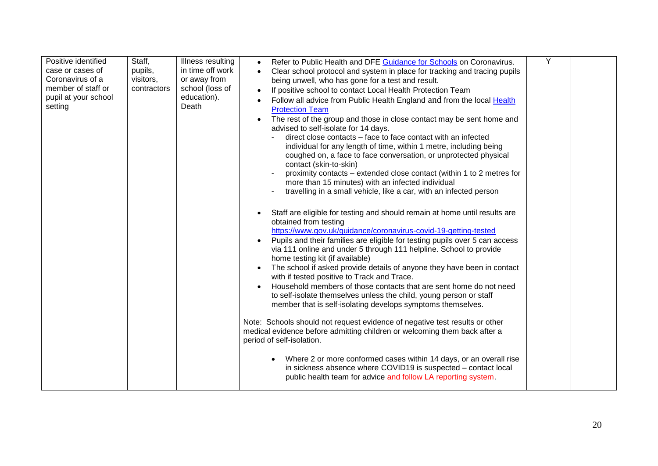| Positive identified<br>case or cases of<br>Coronavirus of a<br>member of staff or<br>pupil at your school<br>setting | Staff,<br>pupils,<br>visitors,<br>contractors | Illness resulting<br>in time off work<br>or away from<br>school (loss of<br>education).<br>Death | Refer to Public Health and DFE Guidance for Schools on Coronavirus.<br>$\bullet$<br>Clear school protocol and system in place for tracking and tracing pupils<br>being unwell, who has gone for a test and result.<br>If positive school to contact Local Health Protection Team<br>$\bullet$<br>Follow all advice from Public Health England and from the local Health<br><b>Protection Team</b><br>The rest of the group and those in close contact may be sent home and<br>$\bullet$<br>advised to self-isolate for 14 days.<br>direct close contacts – face to face contact with an infected<br>individual for any length of time, within 1 metre, including being<br>coughed on, a face to face conversation, or unprotected physical<br>contact (skin-to-skin)<br>proximity contacts – extended close contact (within 1 to 2 metres for<br>more than 15 minutes) with an infected individual<br>travelling in a small vehicle, like a car, with an infected person                                                                                                                                                                     | Y |  |
|----------------------------------------------------------------------------------------------------------------------|-----------------------------------------------|--------------------------------------------------------------------------------------------------|----------------------------------------------------------------------------------------------------------------------------------------------------------------------------------------------------------------------------------------------------------------------------------------------------------------------------------------------------------------------------------------------------------------------------------------------------------------------------------------------------------------------------------------------------------------------------------------------------------------------------------------------------------------------------------------------------------------------------------------------------------------------------------------------------------------------------------------------------------------------------------------------------------------------------------------------------------------------------------------------------------------------------------------------------------------------------------------------------------------------------------------------|---|--|
|                                                                                                                      |                                               |                                                                                                  | Staff are eligible for testing and should remain at home until results are<br>obtained from testing<br>https://www.gov.uk/guidance/coronavirus-covid-19-getting-tested<br>Pupils and their families are eligible for testing pupils over 5 can access<br>$\bullet$<br>via 111 online and under 5 through 111 helpline. School to provide<br>home testing kit (if available)<br>The school if asked provide details of anyone they have been in contact<br>$\bullet$<br>with if tested positive to Track and Trace.<br>Household members of those contacts that are sent home do not need<br>$\bullet$<br>to self-isolate themselves unless the child, young person or staff<br>member that is self-isolating develops symptoms themselves.<br>Note: Schools should not request evidence of negative test results or other<br>medical evidence before admitting children or welcoming them back after a<br>period of self-isolation.<br>Where 2 or more conformed cases within 14 days, or an overall rise<br>in sickness absence where COVID19 is suspected - contact local<br>public health team for advice and follow LA reporting system. |   |  |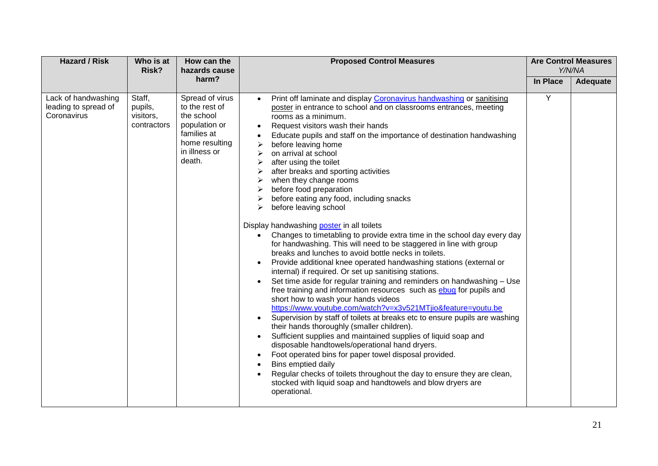| <b>Hazard / Risk</b>                                       | Who is at<br>Risk?                            | How can the<br>hazards cause                                                                                                 | <b>Proposed Control Measures</b>                                                                                                                                                                                                                                                                                                                                                                                                                                                                                                                                                                                                                                                                                                                                                                                                                                                                                                                                                                                                                                                                                                                                                                                                                                                                                                                                                                                                                                                                                                                                                                                                                                                                                                                       |          | <b>Are Control Measures</b><br>Y/N/NA |
|------------------------------------------------------------|-----------------------------------------------|------------------------------------------------------------------------------------------------------------------------------|--------------------------------------------------------------------------------------------------------------------------------------------------------------------------------------------------------------------------------------------------------------------------------------------------------------------------------------------------------------------------------------------------------------------------------------------------------------------------------------------------------------------------------------------------------------------------------------------------------------------------------------------------------------------------------------------------------------------------------------------------------------------------------------------------------------------------------------------------------------------------------------------------------------------------------------------------------------------------------------------------------------------------------------------------------------------------------------------------------------------------------------------------------------------------------------------------------------------------------------------------------------------------------------------------------------------------------------------------------------------------------------------------------------------------------------------------------------------------------------------------------------------------------------------------------------------------------------------------------------------------------------------------------------------------------------------------------------------------------------------------------|----------|---------------------------------------|
|                                                            |                                               | harm?                                                                                                                        |                                                                                                                                                                                                                                                                                                                                                                                                                                                                                                                                                                                                                                                                                                                                                                                                                                                                                                                                                                                                                                                                                                                                                                                                                                                                                                                                                                                                                                                                                                                                                                                                                                                                                                                                                        | In Place | Adequate                              |
| Lack of handwashing<br>leading to spread of<br>Coronavirus | Staff,<br>pupils,<br>visitors,<br>contractors | Spread of virus<br>to the rest of<br>the school<br>population or<br>families at<br>home resulting<br>in illness or<br>death. | Print off laminate and display Coronavirus handwashing or sanitising<br>$\bullet$<br>poster in entrance to school and on classrooms entrances, meeting<br>rooms as a minimum.<br>Request visitors wash their hands<br>$\bullet$<br>Educate pupils and staff on the importance of destination handwashing<br>before leaving home<br>on arrival at school<br>after using the toilet<br>➤<br>after breaks and sporting activities<br>➤<br>when they change rooms<br>➤<br>before food preparation<br>➤<br>before eating any food, including snacks<br>➤<br>before leaving school<br>⋗<br>Display handwashing poster in all toilets<br>Changes to timetabling to provide extra time in the school day every day<br>$\bullet$<br>for handwashing. This will need to be staggered in line with group<br>breaks and lunches to avoid bottle necks in toilets.<br>Provide additional knee operated handwashing stations (external or<br>٠<br>internal) if required. Or set up sanitising stations.<br>Set time aside for regular training and reminders on handwashing - Use<br>$\bullet$<br>free training and information resources such as ebug for pupils and<br>short how to wash your hands videos<br>https://www.youtube.com/watch?v=x3v521MTjio&feature=youtu.be<br>Supervision by staff of toilets at breaks etc to ensure pupils are washing<br>their hands thoroughly (smaller children).<br>Sufficient supplies and maintained supplies of liquid soap and<br>disposable handtowels/operational hand dryers.<br>Foot operated bins for paper towel disposal provided.<br>Bins emptied daily<br>Regular checks of toilets throughout the day to ensure they are clean,<br>stocked with liquid soap and handtowels and blow dryers are<br>operational. | Y        |                                       |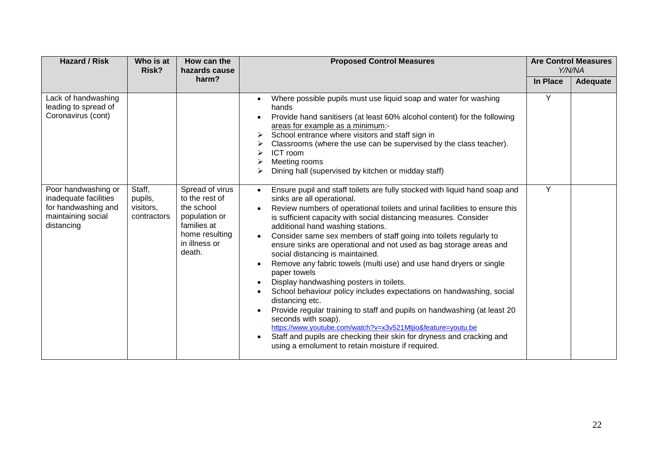| <b>Hazard / Risk</b>                                                                                    | Who is at<br>Risk?                            | How can the<br>hazards cause                                                                                                 | <b>Proposed Control Measures</b>                                                                                                                                                                                                                                                                                                                                                                                                                                                                                                                                                                                                                                                                                                                                                                                                                                                                                                                                                                                                                                                   |                 | <b>Are Control Measures</b><br>Y/N/NA |
|---------------------------------------------------------------------------------------------------------|-----------------------------------------------|------------------------------------------------------------------------------------------------------------------------------|------------------------------------------------------------------------------------------------------------------------------------------------------------------------------------------------------------------------------------------------------------------------------------------------------------------------------------------------------------------------------------------------------------------------------------------------------------------------------------------------------------------------------------------------------------------------------------------------------------------------------------------------------------------------------------------------------------------------------------------------------------------------------------------------------------------------------------------------------------------------------------------------------------------------------------------------------------------------------------------------------------------------------------------------------------------------------------|-----------------|---------------------------------------|
|                                                                                                         |                                               | harm?                                                                                                                        |                                                                                                                                                                                                                                                                                                                                                                                                                                                                                                                                                                                                                                                                                                                                                                                                                                                                                                                                                                                                                                                                                    | <b>In Place</b> | Adequate                              |
| Lack of handwashing<br>leading to spread of<br>Coronavirus (cont)                                       |                                               |                                                                                                                              | Where possible pupils must use liquid soap and water for washing<br>$\bullet$<br>hands<br>Provide hand sanitisers (at least 60% alcohol content) for the following<br>areas for example as a minimum:-<br>School entrance where visitors and staff sign in<br>➤<br>Classrooms (where the use can be supervised by the class teacher).<br>ICT room<br>Meeting rooms<br>Dining hall (supervised by kitchen or midday staff)                                                                                                                                                                                                                                                                                                                                                                                                                                                                                                                                                                                                                                                          | Y               |                                       |
| Poor handwashing or<br>inadequate facilities<br>for handwashing and<br>maintaining social<br>distancing | Staff,<br>pupils,<br>visitors,<br>contractors | Spread of virus<br>to the rest of<br>the school<br>population or<br>families at<br>home resulting<br>in illness or<br>death. | Ensure pupil and staff toilets are fully stocked with liquid hand soap and<br>$\bullet$<br>sinks are all operational.<br>Review numbers of operational toilets and urinal facilities to ensure this<br>is sufficient capacity with social distancing measures. Consider<br>additional hand washing stations.<br>Consider same sex members of staff going into toilets regularly to<br>$\bullet$<br>ensure sinks are operational and not used as bag storage areas and<br>social distancing is maintained.<br>Remove any fabric towels (multi use) and use hand dryers or single<br>$\bullet$<br>paper towels<br>Display handwashing posters in toilets.<br>٠<br>School behaviour policy includes expectations on handwashing, social<br>distancing etc.<br>Provide regular training to staff and pupils on handwashing (at least 20<br>$\bullet$<br>seconds with soap).<br>https://www.youtube.com/watch?v=x3v521Mtjio&feature=youtu.be<br>Staff and pupils are checking their skin for dryness and cracking and<br>$\bullet$<br>using a emolument to retain moisture if required. | Y               |                                       |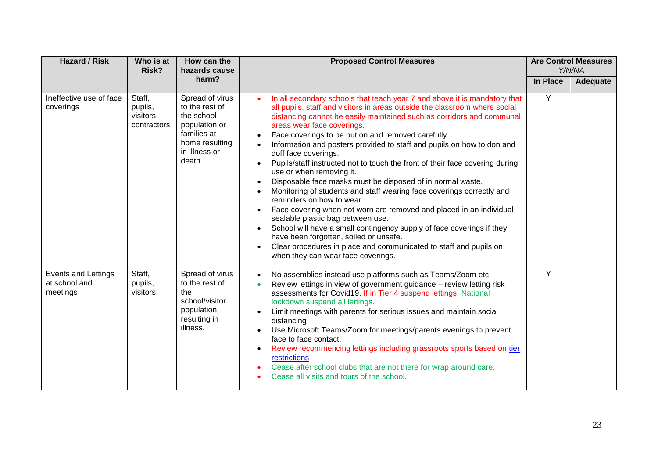| <b>Hazard / Risk</b>                             | Who is at<br>Risk?                            | How can the<br>hazards cause                                                                                                 | <b>Proposed Control Measures</b>                                                                                                                                                                                                                                                                                                                                                                                                                                                                                                                                                                                                                                                                                                                                                                                                                                                                                                                                                                                                                                                       |          | <b>Are Control Measures</b><br>Y/N/NA |
|--------------------------------------------------|-----------------------------------------------|------------------------------------------------------------------------------------------------------------------------------|----------------------------------------------------------------------------------------------------------------------------------------------------------------------------------------------------------------------------------------------------------------------------------------------------------------------------------------------------------------------------------------------------------------------------------------------------------------------------------------------------------------------------------------------------------------------------------------------------------------------------------------------------------------------------------------------------------------------------------------------------------------------------------------------------------------------------------------------------------------------------------------------------------------------------------------------------------------------------------------------------------------------------------------------------------------------------------------|----------|---------------------------------------|
|                                                  |                                               | harm?                                                                                                                        |                                                                                                                                                                                                                                                                                                                                                                                                                                                                                                                                                                                                                                                                                                                                                                                                                                                                                                                                                                                                                                                                                        | In Place | Adequate                              |
| Ineffective use of face<br>coverings             | Staff,<br>pupils,<br>visitors,<br>contractors | Spread of virus<br>to the rest of<br>the school<br>population or<br>families at<br>home resulting<br>in illness or<br>death. | In all secondary schools that teach year 7 and above it is mandatory that<br>all pupils, staff and visitors in areas outside the classroom where social<br>distancing cannot be easily maintained such as corridors and communal<br>areas wear face coverings.<br>Face coverings to be put on and removed carefully<br>Information and posters provided to staff and pupils on how to don and<br>doff face coverings.<br>Pupils/staff instructed not to touch the front of their face covering during<br>use or when removing it.<br>Disposable face masks must be disposed of in normal waste.<br>$\bullet$<br>Monitoring of students and staff wearing face coverings correctly and<br>reminders on how to wear.<br>Face covering when not worn are removed and placed in an individual<br>$\bullet$<br>sealable plastic bag between use.<br>School will have a small contingency supply of face coverings if they<br>$\bullet$<br>have been forgotten, soiled or unsafe.<br>Clear procedures in place and communicated to staff and pupils on<br>when they can wear face coverings. | Y        |                                       |
| Events and Lettings<br>at school and<br>meetings | Staff,<br>pupils,<br>visitors.                | Spread of virus<br>to the rest of<br>the<br>school/visitor<br>population<br>resulting in<br>illness.                         | No assemblies instead use platforms such as Teams/Zoom etc<br>$\bullet$<br>Review lettings in view of government guidance - review letting risk<br>assessments for Covid19. If in Tier 4 suspend lettings. National<br>lockdown suspend all lettings.<br>Limit meetings with parents for serious issues and maintain social<br>$\bullet$<br>distancing<br>Use Microsoft Teams/Zoom for meetings/parents evenings to prevent<br>$\bullet$<br>face to face contact.<br>Review recommencing lettings including grassroots sports based on tier<br>$\bullet$<br>restrictions<br>Cease after school clubs that are not there for wrap around care.<br>Cease all visits and tours of the school.                                                                                                                                                                                                                                                                                                                                                                                             | Y        |                                       |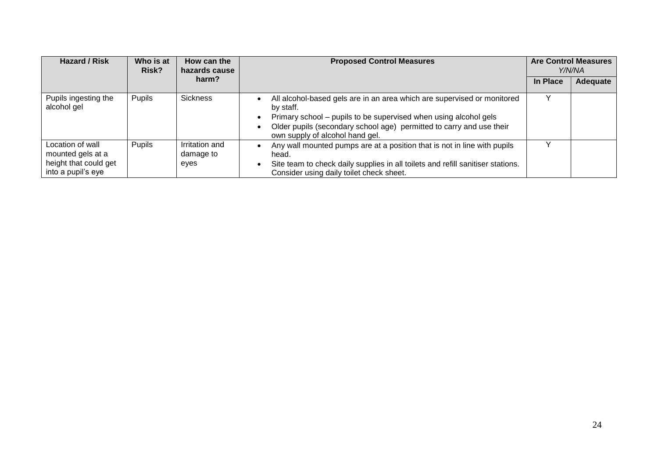| <b>Hazard / Risk</b>                                                                 | Who is at<br>Risk? | How can the<br>hazards cause        | <b>Proposed Control Measures</b>                                                                                                                                                                                                                                         |          | <b>Are Control Measures</b><br>Y/N/NA |
|--------------------------------------------------------------------------------------|--------------------|-------------------------------------|--------------------------------------------------------------------------------------------------------------------------------------------------------------------------------------------------------------------------------------------------------------------------|----------|---------------------------------------|
|                                                                                      |                    | harm?                               |                                                                                                                                                                                                                                                                          | In Place | Adequate                              |
| Pupils ingesting the<br>alcohol gel                                                  | Pupils             | <b>Sickness</b>                     | All alcohol-based gels are in an area which are supervised or monitored<br>by staff.<br>Primary school - pupils to be supervised when using alcohol gels<br>٠<br>Older pupils (secondary school age) permitted to carry and use their<br>own supply of alcohol hand gel. |          |                                       |
| Location of wall<br>mounted gels at a<br>height that could get<br>into a pupil's eye | Pupils             | Irritation and<br>damage to<br>eyes | Any wall mounted pumps are at a position that is not in line with pupils<br>$\bullet$<br>head.<br>Site team to check daily supplies in all toilets and refill sanitiser stations.<br>٠<br>Consider using daily toilet check sheet.                                       |          |                                       |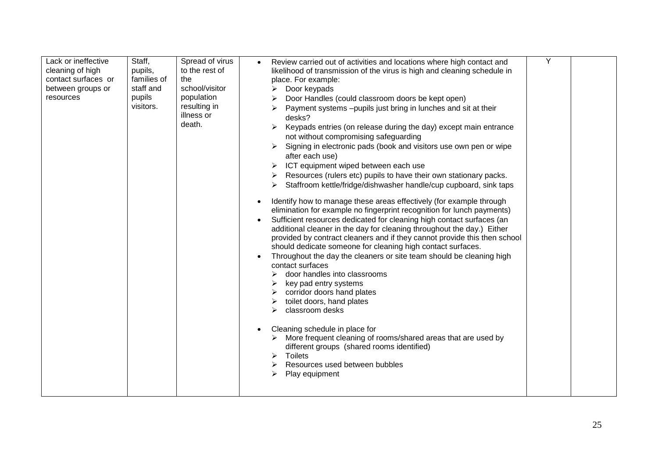| cleaning of high<br>contact surfaces or<br>between groups or<br>resources | pupils,<br>families of<br>staff and<br>pupils<br>visitors. | to the rest of<br>the<br>school/visitor<br>population<br>resulting in<br>illness or<br>death. | likelihood of transmission of the virus is high and cleaning schedule in<br>place. For example:<br>Door keypads<br>Door Handles (could classroom doors be kept open)<br>Payment systems -pupils just bring in lunches and sit at their<br>desks?<br>Keypads entries (on release during the day) except main entrance<br>$\blacktriangleright$<br>not without compromising safeguarding<br>Signing in electronic pads (book and visitors use own pen or wipe<br>after each use)<br>ICT equipment wiped between each use<br>Resources (rulers etc) pupils to have their own stationary packs.<br>Staffroom kettle/fridge/dishwasher handle/cup cupboard, sink taps<br>Identify how to manage these areas effectively (for example through<br>elimination for example no fingerprint recognition for lunch payments)<br>Sufficient resources dedicated for cleaning high contact surfaces (an<br>additional cleaner in the day for cleaning throughout the day.) Either<br>provided by contract cleaners and if they cannot provide this then school<br>should dedicate someone for cleaning high contact surfaces.<br>Throughout the day the cleaners or site team should be cleaning high<br>contact surfaces<br>door handles into classrooms<br>key pad entry systems<br>corridor doors hand plates<br>toilet doors, hand plates<br>classroom desks<br>⋗<br>Cleaning schedule in place for<br>More frequent cleaning of rooms/shared areas that are used by<br>different groups (shared rooms identified)<br>Toilets<br>➤<br>Resources used between bubbles<br>Play equipment<br>⋗ |  |  |
|---------------------------------------------------------------------------|------------------------------------------------------------|-----------------------------------------------------------------------------------------------|------------------------------------------------------------------------------------------------------------------------------------------------------------------------------------------------------------------------------------------------------------------------------------------------------------------------------------------------------------------------------------------------------------------------------------------------------------------------------------------------------------------------------------------------------------------------------------------------------------------------------------------------------------------------------------------------------------------------------------------------------------------------------------------------------------------------------------------------------------------------------------------------------------------------------------------------------------------------------------------------------------------------------------------------------------------------------------------------------------------------------------------------------------------------------------------------------------------------------------------------------------------------------------------------------------------------------------------------------------------------------------------------------------------------------------------------------------------------------------------------------------------------------------------------------------------------------------|--|--|
|---------------------------------------------------------------------------|------------------------------------------------------------|-----------------------------------------------------------------------------------------------|------------------------------------------------------------------------------------------------------------------------------------------------------------------------------------------------------------------------------------------------------------------------------------------------------------------------------------------------------------------------------------------------------------------------------------------------------------------------------------------------------------------------------------------------------------------------------------------------------------------------------------------------------------------------------------------------------------------------------------------------------------------------------------------------------------------------------------------------------------------------------------------------------------------------------------------------------------------------------------------------------------------------------------------------------------------------------------------------------------------------------------------------------------------------------------------------------------------------------------------------------------------------------------------------------------------------------------------------------------------------------------------------------------------------------------------------------------------------------------------------------------------------------------------------------------------------------------|--|--|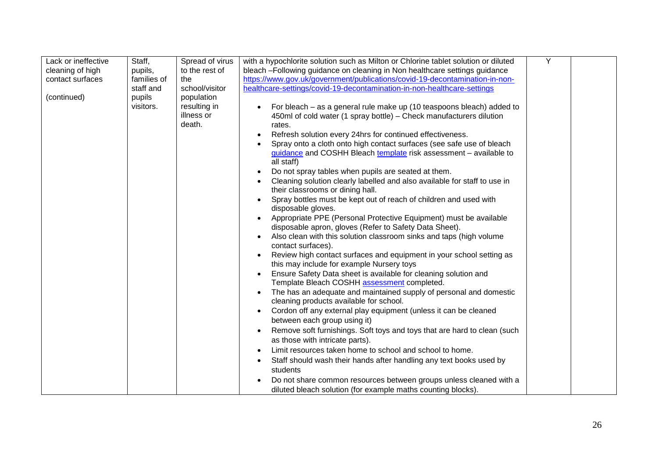| Lack or ineffective | Staff,      | Spread of virus | with a hypochlorite solution such as Milton or Chlorine tablet solution or diluted    | Y |  |
|---------------------|-------------|-----------------|---------------------------------------------------------------------------------------|---|--|
| cleaning of high    | pupils,     | to the rest of  | bleach -Following guidance on cleaning in Non healthcare settings guidance            |   |  |
| contact surfaces    | families of | the             | https://www.gov.uk/government/publications/covid-19-decontamination-in-non-           |   |  |
|                     | staff and   | school/visitor  | healthcare-settings/covid-19-decontamination-in-non-healthcare-settings               |   |  |
| (continued)         | pupils      | population      |                                                                                       |   |  |
|                     | visitors.   | resulting in    | For bleach – as a general rule make up (10 teaspoons bleach) added to<br>$\bullet$    |   |  |
|                     |             | illness or      | 450ml of cold water (1 spray bottle) – Check manufacturers dilution                   |   |  |
|                     |             | death.          | rates.                                                                                |   |  |
|                     |             |                 | Refresh solution every 24hrs for continued effectiveness.                             |   |  |
|                     |             |                 | Spray onto a cloth onto high contact surfaces (see safe use of bleach                 |   |  |
|                     |             |                 | guidance and COSHH Bleach template risk assessment - available to                     |   |  |
|                     |             |                 | all staff)                                                                            |   |  |
|                     |             |                 | Do not spray tables when pupils are seated at them.<br>$\bullet$                      |   |  |
|                     |             |                 | Cleaning solution clearly labelled and also available for staff to use in             |   |  |
|                     |             |                 | their classrooms or dining hall.                                                      |   |  |
|                     |             |                 | Spray bottles must be kept out of reach of children and used with                     |   |  |
|                     |             |                 | disposable gloves.                                                                    |   |  |
|                     |             |                 | Appropriate PPE (Personal Protective Equipment) must be available                     |   |  |
|                     |             |                 | disposable apron, gloves (Refer to Safety Data Sheet).                                |   |  |
|                     |             |                 | Also clean with this solution classroom sinks and taps (high volume                   |   |  |
|                     |             |                 | contact surfaces).                                                                    |   |  |
|                     |             |                 | Review high contact surfaces and equipment in your school setting as                  |   |  |
|                     |             |                 | this may include for example Nursery toys                                             |   |  |
|                     |             |                 | Ensure Safety Data sheet is available for cleaning solution and                       |   |  |
|                     |             |                 | Template Bleach COSHH assessment completed.                                           |   |  |
|                     |             |                 | The has an adequate and maintained supply of personal and domestic                    |   |  |
|                     |             |                 | cleaning products available for school.                                               |   |  |
|                     |             |                 | Cordon off any external play equipment (unless it can be cleaned<br>٠                 |   |  |
|                     |             |                 | between each group using it)                                                          |   |  |
|                     |             |                 | Remove soft furnishings. Soft toys and toys that are hard to clean (such<br>$\bullet$ |   |  |
|                     |             |                 | as those with intricate parts).                                                       |   |  |
|                     |             |                 | Limit resources taken home to school and school to home.                              |   |  |
|                     |             |                 | Staff should wash their hands after handling any text books used by                   |   |  |
|                     |             |                 | students                                                                              |   |  |
|                     |             |                 | Do not share common resources between groups unless cleaned with a                    |   |  |
|                     |             |                 | diluted bleach solution (for example maths counting blocks).                          |   |  |
|                     |             |                 |                                                                                       |   |  |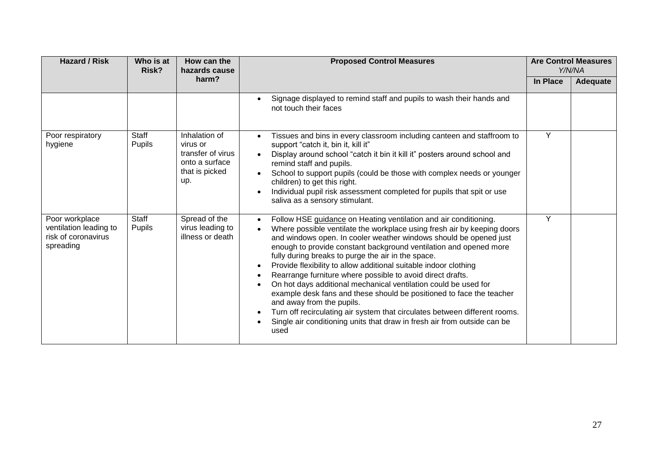| <b>Hazard / Risk</b>                                                         | Who is at<br>Risk? | How can the<br>hazards cause                                                              | <b>Proposed Control Measures</b>                                                                                                                                                                                                                                                                                                                                                                                                                                                                                                                                                                                                                                                                                                                                                                                                                                                                      | <b>Are Control Measures</b><br>Y/N/NA |          |
|------------------------------------------------------------------------------|--------------------|-------------------------------------------------------------------------------------------|-------------------------------------------------------------------------------------------------------------------------------------------------------------------------------------------------------------------------------------------------------------------------------------------------------------------------------------------------------------------------------------------------------------------------------------------------------------------------------------------------------------------------------------------------------------------------------------------------------------------------------------------------------------------------------------------------------------------------------------------------------------------------------------------------------------------------------------------------------------------------------------------------------|---------------------------------------|----------|
|                                                                              |                    | harm?                                                                                     |                                                                                                                                                                                                                                                                                                                                                                                                                                                                                                                                                                                                                                                                                                                                                                                                                                                                                                       | In Place                              | Adequate |
|                                                                              |                    |                                                                                           | Signage displayed to remind staff and pupils to wash their hands and<br>$\bullet$<br>not touch their faces                                                                                                                                                                                                                                                                                                                                                                                                                                                                                                                                                                                                                                                                                                                                                                                            |                                       |          |
| Poor respiratory<br>hygiene                                                  | Staff<br>Pupils    | Inhalation of<br>virus or<br>transfer of virus<br>onto a surface<br>that is picked<br>up. | Tissues and bins in every classroom including canteen and staffroom to<br>support "catch it, bin it, kill it"<br>Display around school "catch it bin it kill it" posters around school and<br>remind staff and pupils.<br>School to support pupils (could be those with complex needs or younger<br>$\bullet$<br>children) to get this right.<br>Individual pupil risk assessment completed for pupils that spit or use<br>$\bullet$<br>saliva as a sensory stimulant.                                                                                                                                                                                                                                                                                                                                                                                                                                | Y                                     |          |
| Poor workplace<br>ventilation leading to<br>risk of coronavirus<br>spreading | Staff<br>Pupils    | Spread of the<br>virus leading to<br>illness or death                                     | Follow HSE guidance on Heating ventilation and air conditioning.<br>$\bullet$<br>Where possible ventilate the workplace using fresh air by keeping doors<br>$\bullet$<br>and windows open. In cooler weather windows should be opened just<br>enough to provide constant background ventilation and opened more<br>fully during breaks to purge the air in the space.<br>Provide flexibility to allow additional suitable indoor clothing<br>Rearrange furniture where possible to avoid direct drafts.<br>$\bullet$<br>On hot days additional mechanical ventilation could be used for<br>$\bullet$<br>example desk fans and these should be positioned to face the teacher<br>and away from the pupils.<br>Turn off recirculating air system that circulates between different rooms.<br>$\bullet$<br>Single air conditioning units that draw in fresh air from outside can be<br>$\bullet$<br>used | Y                                     |          |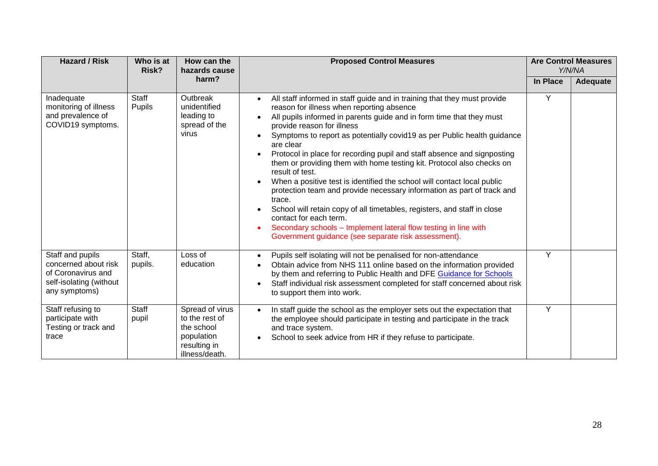| <b>Hazard / Risk</b>                                                                                       | Who is at<br>Risk?    | How can the<br>hazards cause                                                                    | <b>Proposed Control Measures</b>                                                                                                                                                                                                                                                                                                                                                                                                                                                                                                                                                                                                                                                                                                                                                                                                                                                                                                              | <b>Are Control Measures</b><br>Y/N/NA |          |
|------------------------------------------------------------------------------------------------------------|-----------------------|-------------------------------------------------------------------------------------------------|-----------------------------------------------------------------------------------------------------------------------------------------------------------------------------------------------------------------------------------------------------------------------------------------------------------------------------------------------------------------------------------------------------------------------------------------------------------------------------------------------------------------------------------------------------------------------------------------------------------------------------------------------------------------------------------------------------------------------------------------------------------------------------------------------------------------------------------------------------------------------------------------------------------------------------------------------|---------------------------------------|----------|
|                                                                                                            |                       | harm?                                                                                           |                                                                                                                                                                                                                                                                                                                                                                                                                                                                                                                                                                                                                                                                                                                                                                                                                                                                                                                                               | In Place                              | Adequate |
| Inadequate<br>monitoring of illness<br>and prevalence of<br>COVID19 symptoms.                              | Staff<br>Pupils       | Outbreak<br>unidentified<br>leading to<br>spread of the<br>virus                                | All staff informed in staff guide and in training that they must provide<br>$\bullet$<br>reason for illness when reporting absence<br>All pupils informed in parents guide and in form time that they must<br>$\bullet$<br>provide reason for illness<br>Symptoms to report as potentially covid19 as per Public health guidance<br>are clear<br>Protocol in place for recording pupil and staff absence and signposting<br>$\bullet$<br>them or providing them with home testing kit. Protocol also checks on<br>result of test.<br>When a positive test is identified the school will contact local public<br>$\bullet$<br>protection team and provide necessary information as part of track and<br>trace.<br>School will retain copy of all timetables, registers, and staff in close<br>contact for each term.<br>Secondary schools - Implement lateral flow testing in line with<br>Government guidance (see separate risk assessment). | Y                                     |          |
| Staff and pupils<br>concerned about risk<br>of Coronavirus and<br>self-isolating (without<br>any symptoms) | Staff,<br>pupils.     | Loss of<br>education                                                                            | Pupils self isolating will not be penalised for non-attendance<br>$\bullet$<br>Obtain advice from NHS 111 online based on the information provided<br>by them and referring to Public Health and DFE Guidance for Schools<br>Staff individual risk assessment completed for staff concerned about risk<br>$\bullet$<br>to support them into work.                                                                                                                                                                                                                                                                                                                                                                                                                                                                                                                                                                                             | Y                                     |          |
| Staff refusing to<br>participate with<br>Testing or track and<br>trace                                     | <b>Staff</b><br>pupil | Spread of virus<br>to the rest of<br>the school<br>population<br>resulting in<br>illness/death. | In staff guide the school as the employer sets out the expectation that<br>$\bullet$<br>the employee should participate in testing and participate in the track<br>and trace system.<br>School to seek advice from HR if they refuse to participate.<br>$\bullet$                                                                                                                                                                                                                                                                                                                                                                                                                                                                                                                                                                                                                                                                             | Y                                     |          |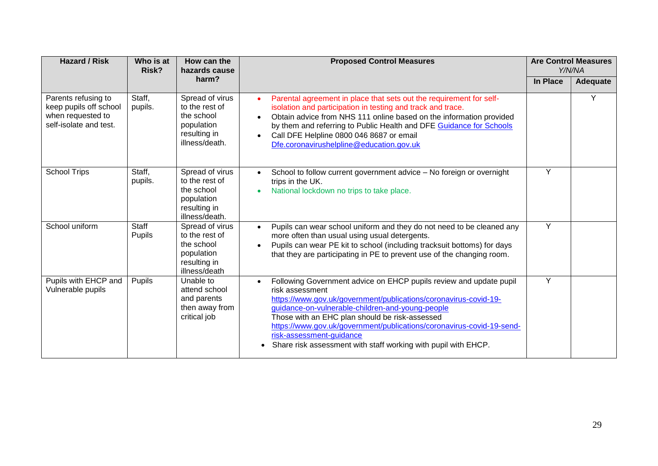| <b>Hazard / Risk</b>                                                                         | Who is at<br>Risk? | How can the<br>hazards cause                                                                    | <b>Proposed Control Measures</b>                                                                                                                                                                                                                                                                                                                                                                                                       | <b>Are Control Measures</b><br>Y/N/NA |                 |
|----------------------------------------------------------------------------------------------|--------------------|-------------------------------------------------------------------------------------------------|----------------------------------------------------------------------------------------------------------------------------------------------------------------------------------------------------------------------------------------------------------------------------------------------------------------------------------------------------------------------------------------------------------------------------------------|---------------------------------------|-----------------|
|                                                                                              |                    | harm?                                                                                           |                                                                                                                                                                                                                                                                                                                                                                                                                                        | In Place                              | <b>Adequate</b> |
| Parents refusing to<br>keep pupils off school<br>when requested to<br>self-isolate and test. | Staff,<br>pupils.  | Spread of virus<br>to the rest of<br>the school<br>population<br>resulting in<br>illness/death. | Parental agreement in place that sets out the requirement for self-<br>isolation and participation in testing and track and trace.<br>Obtain advice from NHS 111 online based on the information provided<br>$\bullet$<br>by them and referring to Public Health and DFE Guidance for Schools<br>Call DFE Helpline 0800 046 8687 or email<br>$\bullet$<br>Dfe.coronavirushelpline@education.gov.uk                                     |                                       | Υ               |
| <b>School Trips</b>                                                                          | Staff,<br>pupils.  | Spread of virus<br>to the rest of<br>the school<br>population<br>resulting in<br>illness/death. | School to follow current government advice - No foreign or overnight<br>trips in the UK.<br>National lockdown no trips to take place.                                                                                                                                                                                                                                                                                                  | Y                                     |                 |
| School uniform                                                                               | Staff<br>Pupils    | Spread of virus<br>to the rest of<br>the school<br>population<br>resulting in<br>illness/death  | Pupils can wear school uniform and they do not need to be cleaned any<br>$\bullet$<br>more often than usual using usual detergents.<br>Pupils can wear PE kit to school (including tracksuit bottoms) for days<br>that they are participating in PE to prevent use of the changing room.                                                                                                                                               | Y                                     |                 |
| Pupils with EHCP and<br>Vulnerable pupils                                                    | Pupils             | Unable to<br>attend school<br>and parents<br>then away from<br>critical job                     | Following Government advice on EHCP pupils review and update pupil<br>risk assessment<br>https://www.gov.uk/government/publications/coronavirus-covid-19-<br>guidance-on-vulnerable-children-and-young-people<br>Those with an EHC plan should be risk-assessed<br>https://www.gov.uk/government/publications/coronavirus-covid-19-send-<br>risk-assessment-guidance<br>Share risk assessment with staff working with pupil with EHCP. | Y                                     |                 |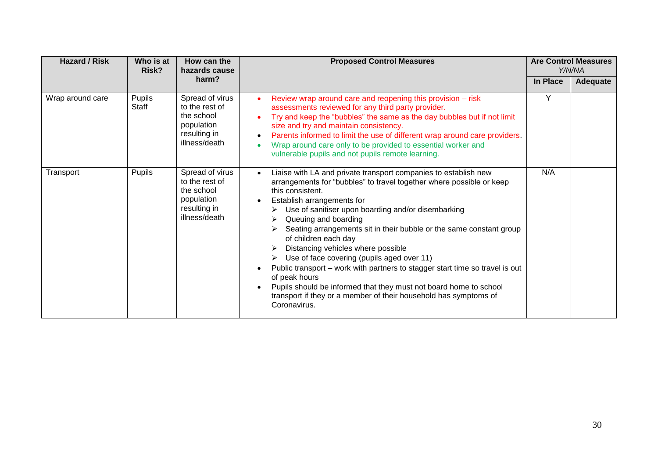| <b>Hazard / Risk</b> | Who is at<br>Risk? | How can the<br>hazards cause<br>harm?                                                          | <b>Proposed Control Measures</b>                                                                                                                                                                                                                                                                                                                                                                                                                                                                                                                                                                                                                                                                                                                            | <b>Are Control Measures</b><br>Y/N/NA |          |
|----------------------|--------------------|------------------------------------------------------------------------------------------------|-------------------------------------------------------------------------------------------------------------------------------------------------------------------------------------------------------------------------------------------------------------------------------------------------------------------------------------------------------------------------------------------------------------------------------------------------------------------------------------------------------------------------------------------------------------------------------------------------------------------------------------------------------------------------------------------------------------------------------------------------------------|---------------------------------------|----------|
|                      |                    |                                                                                                |                                                                                                                                                                                                                                                                                                                                                                                                                                                                                                                                                                                                                                                                                                                                                             | In Place                              | Adequate |
| Wrap around care     | Pupils<br>Staff    | Spread of virus<br>to the rest of<br>the school<br>population<br>resulting in<br>illness/death | Review wrap around care and reopening this provision - risk<br>$\bullet$<br>assessments reviewed for any third party provider.<br>Try and keep the "bubbles" the same as the day bubbles but if not limit<br>size and try and maintain consistency.<br>Parents informed to limit the use of different wrap around care providers.<br>Wrap around care only to be provided to essential worker and<br>vulnerable pupils and not pupils remote learning.                                                                                                                                                                                                                                                                                                      | Υ                                     |          |
| Transport            | Pupils             | Spread of virus<br>to the rest of<br>the school<br>population<br>resulting in<br>illness/death | Liaise with LA and private transport companies to establish new<br>$\bullet$<br>arrangements for "bubbles" to travel together where possible or keep<br>this consistent.<br>Establish arrangements for<br>$\bullet$<br>Use of sanitiser upon boarding and/or disembarking<br>Queuing and boarding<br>Seating arrangements sit in their bubble or the same constant group<br>of children each day<br>Distancing vehicles where possible<br>Use of face covering (pupils aged over 11)<br>Public transport - work with partners to stagger start time so travel is out<br>of peak hours<br>Pupils should be informed that they must not board home to school<br>$\bullet$<br>transport if they or a member of their household has symptoms of<br>Coronavirus. | N/A                                   |          |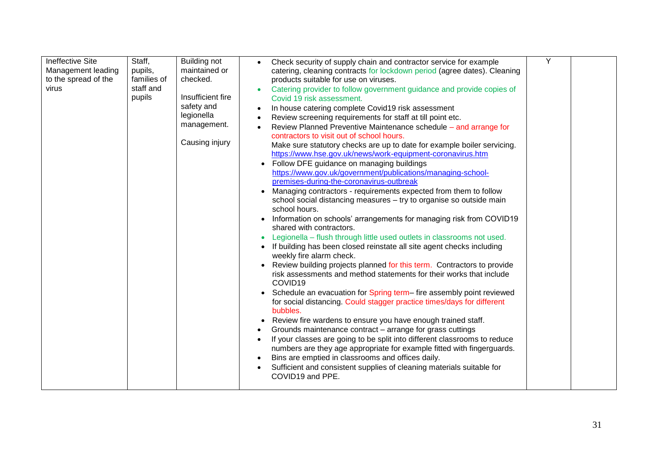| <b>Ineffective Site</b><br>Staff,<br><b>Building not</b><br>maintained or<br>Management leading<br>pupils,<br>to the spread of the<br>families of<br>checked.<br>staff and<br>virus<br>Insufficient fire<br>pupils<br>safety and<br>legionella<br>management.<br>Causing injury | Check security of supply chain and contractor service for example<br>catering, cleaning contracts for lockdown period (agree dates). Cleaning<br>products suitable for use on viruses.<br>Catering provider to follow government guidance and provide copies of<br>Covid 19 risk assessment.<br>In house catering complete Covid19 risk assessment<br>Review screening requirements for staff at till point etc.<br>Review Planned Preventive Maintenance schedule – and arrange for<br>contractors to visit out of school hours.<br>Make sure statutory checks are up to date for example boiler servicing.<br>https://www.hse.gov.uk/news/work-equipment-coronavirus.htm<br>Follow DFE guidance on managing buildings<br>https://www.gov.uk/government/publications/managing-school-<br>premises-during-the-coronavirus-outbreak<br>Managing contractors - requirements expected from them to follow<br>school social distancing measures - try to organise so outside main<br>school hours.<br>Information on schools' arrangements for managing risk from COVID19<br>shared with contractors.<br>Legionella - flush through little used outlets in classrooms not used.<br>If building has been closed reinstate all site agent checks including<br>weekly fire alarm check.<br>Review building projects planned for this term. Contractors to provide<br>risk assessments and method statements for their works that include<br>COVID19<br>Schedule an evacuation for Spring term- fire assembly point reviewed<br>for social distancing. Could stagger practice times/days for different<br>bubbles.<br>Review fire wardens to ensure you have enough trained staff.<br>Grounds maintenance contract - arrange for grass cuttings<br>If your classes are going to be split into different classrooms to reduce<br>numbers are they age appropriate for example fitted with fingerguards.<br>Bins are emptied in classrooms and offices daily.<br>Sufficient and consistent supplies of cleaning materials suitable for<br>COVID19 and PPE. | Y |  |
|---------------------------------------------------------------------------------------------------------------------------------------------------------------------------------------------------------------------------------------------------------------------------------|--------------------------------------------------------------------------------------------------------------------------------------------------------------------------------------------------------------------------------------------------------------------------------------------------------------------------------------------------------------------------------------------------------------------------------------------------------------------------------------------------------------------------------------------------------------------------------------------------------------------------------------------------------------------------------------------------------------------------------------------------------------------------------------------------------------------------------------------------------------------------------------------------------------------------------------------------------------------------------------------------------------------------------------------------------------------------------------------------------------------------------------------------------------------------------------------------------------------------------------------------------------------------------------------------------------------------------------------------------------------------------------------------------------------------------------------------------------------------------------------------------------------------------------------------------------------------------------------------------------------------------------------------------------------------------------------------------------------------------------------------------------------------------------------------------------------------------------------------------------------------------------------------------------------------------------------------------------------------------------------------------------------------------------------------|---|--|
|---------------------------------------------------------------------------------------------------------------------------------------------------------------------------------------------------------------------------------------------------------------------------------|--------------------------------------------------------------------------------------------------------------------------------------------------------------------------------------------------------------------------------------------------------------------------------------------------------------------------------------------------------------------------------------------------------------------------------------------------------------------------------------------------------------------------------------------------------------------------------------------------------------------------------------------------------------------------------------------------------------------------------------------------------------------------------------------------------------------------------------------------------------------------------------------------------------------------------------------------------------------------------------------------------------------------------------------------------------------------------------------------------------------------------------------------------------------------------------------------------------------------------------------------------------------------------------------------------------------------------------------------------------------------------------------------------------------------------------------------------------------------------------------------------------------------------------------------------------------------------------------------------------------------------------------------------------------------------------------------------------------------------------------------------------------------------------------------------------------------------------------------------------------------------------------------------------------------------------------------------------------------------------------------------------------------------------------------|---|--|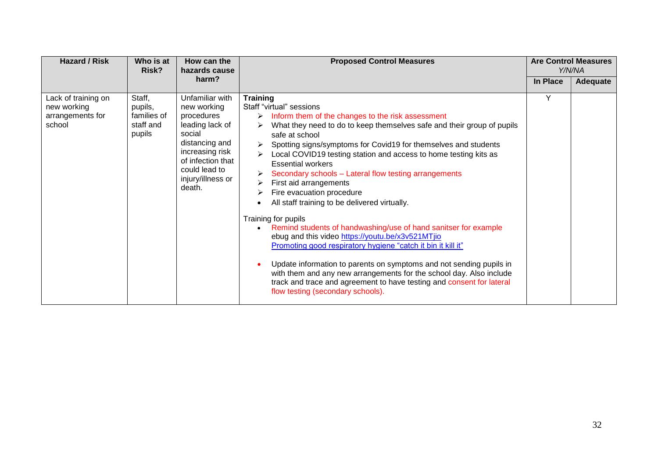| <b>Hazard / Risk</b>                                             | Who is at<br>Risk?                                      | How can the<br>hazards cause                                                                                                                                                        | <b>Proposed Control Measures</b>                                                                                                                                                                                                                                                                                                                                                                                                                                                                                                                                                                                                                                                                                                                                                                                                                                                                                                                                                                                                            |          | <b>Are Control Measures</b><br>Y/N/NA |
|------------------------------------------------------------------|---------------------------------------------------------|-------------------------------------------------------------------------------------------------------------------------------------------------------------------------------------|---------------------------------------------------------------------------------------------------------------------------------------------------------------------------------------------------------------------------------------------------------------------------------------------------------------------------------------------------------------------------------------------------------------------------------------------------------------------------------------------------------------------------------------------------------------------------------------------------------------------------------------------------------------------------------------------------------------------------------------------------------------------------------------------------------------------------------------------------------------------------------------------------------------------------------------------------------------------------------------------------------------------------------------------|----------|---------------------------------------|
|                                                                  |                                                         | harm?                                                                                                                                                                               |                                                                                                                                                                                                                                                                                                                                                                                                                                                                                                                                                                                                                                                                                                                                                                                                                                                                                                                                                                                                                                             | In Place | Adequate                              |
| Lack of training on<br>new working<br>arrangements for<br>school | Staff,<br>pupils,<br>families of<br>staff and<br>pupils | Unfamiliar with<br>new working<br>procedures<br>leading lack of<br>social<br>distancing and<br>increasing risk<br>of infection that<br>could lead to<br>injury/illness or<br>death. | <b>Training</b><br>Staff "virtual" sessions<br>Inform them of the changes to the risk assessment<br>➤<br>What they need to do to keep themselves safe and their group of pupils<br>⋗<br>safe at school<br>Spotting signs/symptoms for Covid19 for themselves and students<br>Local COVID19 testing station and access to home testing kits as<br><b>Essential workers</b><br>Secondary schools - Lateral flow testing arrangements<br>➤<br>First aid arrangements<br>➤<br>Fire evacuation procedure<br>All staff training to be delivered virtually.<br>Training for pupils<br>Remind students of handwashing/use of hand sanitser for example<br>$\bullet$<br>ebug and this video https://youtu.be/x3v521MTjio<br>Promoting good respiratory hygiene "catch it bin it kill it"<br>Update information to parents on symptoms and not sending pupils in<br>with them and any new arrangements for the school day. Also include<br>track and trace and agreement to have testing and consent for lateral<br>flow testing (secondary schools). | Y        |                                       |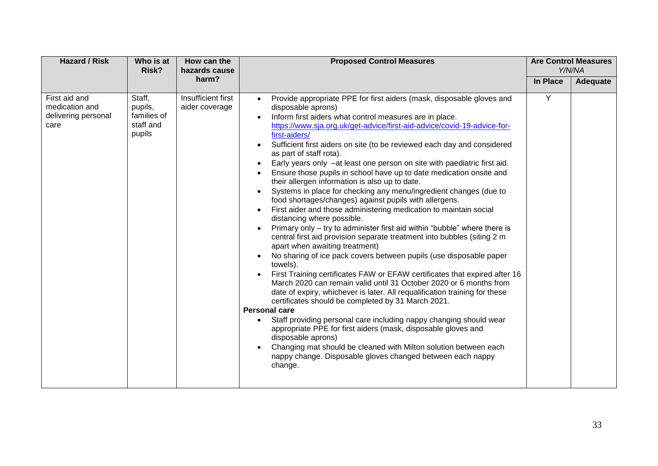| <b>Hazard / Risk</b><br>Who is at<br>How can the<br>Risk?<br>hazards cause | <b>Proposed Control Measures</b>                        | <b>Are Control Measures</b><br>Y/N/NA |                                                                                                                                                                                                                                                                                                                                                                                                                                                                                                                                                                                                                                                                                                                                                                                                                                                                                                                                                                                                                                                                                                                                                                                                                                                                                                                                                                                                                                                                                                                                                                                                                                                                                                                                                                                                  |          |          |
|----------------------------------------------------------------------------|---------------------------------------------------------|---------------------------------------|--------------------------------------------------------------------------------------------------------------------------------------------------------------------------------------------------------------------------------------------------------------------------------------------------------------------------------------------------------------------------------------------------------------------------------------------------------------------------------------------------------------------------------------------------------------------------------------------------------------------------------------------------------------------------------------------------------------------------------------------------------------------------------------------------------------------------------------------------------------------------------------------------------------------------------------------------------------------------------------------------------------------------------------------------------------------------------------------------------------------------------------------------------------------------------------------------------------------------------------------------------------------------------------------------------------------------------------------------------------------------------------------------------------------------------------------------------------------------------------------------------------------------------------------------------------------------------------------------------------------------------------------------------------------------------------------------------------------------------------------------------------------------------------------------|----------|----------|
|                                                                            |                                                         | harm?                                 |                                                                                                                                                                                                                                                                                                                                                                                                                                                                                                                                                                                                                                                                                                                                                                                                                                                                                                                                                                                                                                                                                                                                                                                                                                                                                                                                                                                                                                                                                                                                                                                                                                                                                                                                                                                                  | In Place | Adequate |
| First aid and<br>medication and<br>delivering personal<br>care             | Staff,<br>pupils,<br>families of<br>staff and<br>pupils | Insufficient first<br>aider coverage  | Provide appropriate PPE for first aiders (mask, disposable gloves and<br>$\bullet$<br>disposable aprons)<br>Inform first aiders what control measures are in place.<br>$\bullet$<br>https://www.sja.org.uk/get-advice/first-aid-advice/covid-19-advice-for-<br>first-aiders/<br>Sufficient first aiders on site (to be reviewed each day and considered<br>as part of staff rota).<br>Early years only -at least one person on site with paediatric first aid.<br>Ensure those pupils in school have up to date medication onsite and<br>their allergen information is also up to date.<br>Systems in place for checking any menu/ingredient changes (due to<br>$\bullet$<br>food shortages/changes) against pupils with allergens.<br>First aider and those administering medication to maintain social<br>$\bullet$<br>distancing where possible.<br>Primary only - try to administer first aid within "bubble" where there is<br>central first aid provision separate treatment into bubbles (siting 2 m<br>apart when awaiting treatment)<br>No sharing of ice pack covers between pupils (use disposable paper<br>towels).<br>First Training certificates FAW or EFAW certificates that expired after 16<br>$\bullet$<br>March 2020 can remain valid until 31 October 2020 or 6 months from<br>date of expiry, whichever is later. All requalification training for these<br>certificates should be completed by 31 March 2021.<br><b>Personal care</b><br>Staff providing personal care including nappy changing should wear<br>$\bullet$<br>appropriate PPE for first aiders (mask, disposable gloves and<br>disposable aprons)<br>Changing mat should be cleaned with Milton solution between each<br>$\bullet$<br>nappy change. Disposable gloves changed between each nappy<br>change. | Y        |          |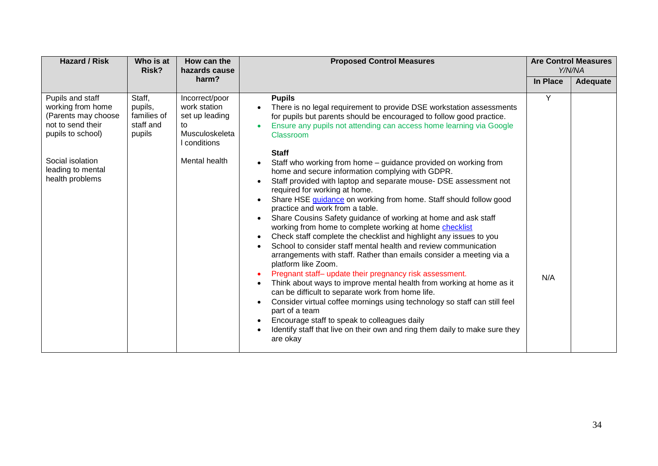| <b>Hazard / Risk</b>                                                                                                                                               | Who is at<br>Risk?                                      | How can the<br>hazards cause                                                                              | <b>Proposed Control Measures</b>                                                                                                                                                                                                                                                                                                                                                                                                                                                                                                                                                                                                                                                                                                                                                                                                                                                                                                                                                                                                                                                                                                                                                                                                                                                                                                                                                                                                                                                                                                                |          | <b>Are Control Measures</b><br>Y/N/NA |
|--------------------------------------------------------------------------------------------------------------------------------------------------------------------|---------------------------------------------------------|-----------------------------------------------------------------------------------------------------------|-------------------------------------------------------------------------------------------------------------------------------------------------------------------------------------------------------------------------------------------------------------------------------------------------------------------------------------------------------------------------------------------------------------------------------------------------------------------------------------------------------------------------------------------------------------------------------------------------------------------------------------------------------------------------------------------------------------------------------------------------------------------------------------------------------------------------------------------------------------------------------------------------------------------------------------------------------------------------------------------------------------------------------------------------------------------------------------------------------------------------------------------------------------------------------------------------------------------------------------------------------------------------------------------------------------------------------------------------------------------------------------------------------------------------------------------------------------------------------------------------------------------------------------------------|----------|---------------------------------------|
|                                                                                                                                                                    |                                                         | harm?                                                                                                     |                                                                                                                                                                                                                                                                                                                                                                                                                                                                                                                                                                                                                                                                                                                                                                                                                                                                                                                                                                                                                                                                                                                                                                                                                                                                                                                                                                                                                                                                                                                                                 | In Place | Adequate                              |
| Pupils and staff<br>working from home<br>(Parents may choose<br>not to send their<br>pupils to school)<br>Social isolation<br>leading to mental<br>health problems | Staff,<br>pupils,<br>families of<br>staff and<br>pupils | Incorrect/poor<br>work station<br>set up leading<br>to<br>Musculoskeleta<br>I conditions<br>Mental health | <b>Pupils</b><br>There is no legal requirement to provide DSE workstation assessments<br>for pupils but parents should be encouraged to follow good practice.<br>Ensure any pupils not attending can access home learning via Google<br>Classroom<br><b>Staff</b><br>Staff who working from home - guidance provided on working from<br>home and secure information complying with GDPR.<br>Staff provided with laptop and separate mouse- DSE assessment not<br>$\bullet$<br>required for working at home.<br>Share HSE guidance on working from home. Staff should follow good<br>$\bullet$<br>practice and work from a table.<br>Share Cousins Safety guidance of working at home and ask staff<br>$\bullet$<br>working from home to complete working at home checklist<br>Check staff complete the checklist and highlight any issues to you<br>$\bullet$<br>School to consider staff mental health and review communication<br>$\bullet$<br>arrangements with staff. Rather than emails consider a meeting via a<br>platform like Zoom.<br>Pregnant staff- update their pregnancy risk assessment.<br>$\bullet$<br>Think about ways to improve mental health from working at home as it<br>$\bullet$<br>can be difficult to separate work from home life.<br>Consider virtual coffee mornings using technology so staff can still feel<br>$\bullet$<br>part of a team<br>Encourage staff to speak to colleagues daily<br>$\bullet$<br>Identify staff that live on their own and ring them daily to make sure they<br>$\bullet$<br>are okay | Y<br>N/A |                                       |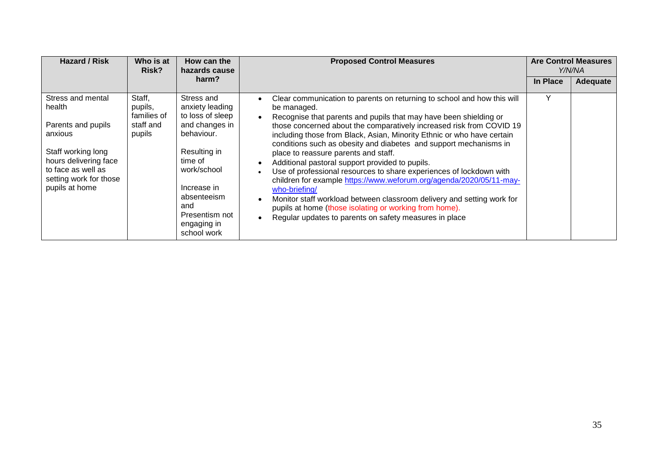| <b>Hazard / Risk</b>                                                                                                                                                          | Who is at<br>Risk?                                      | How can the<br>hazards cause                                                                                                                                                                                     | <b>Proposed Control Measures</b>                                                                                                                                                                                                                                                                                                                                                                                                                                                                                                                                                                                                                                                                                                                                                                                                                                                  |          | <b>Are Control Measures</b><br>Y/N/NA |
|-------------------------------------------------------------------------------------------------------------------------------------------------------------------------------|---------------------------------------------------------|------------------------------------------------------------------------------------------------------------------------------------------------------------------------------------------------------------------|-----------------------------------------------------------------------------------------------------------------------------------------------------------------------------------------------------------------------------------------------------------------------------------------------------------------------------------------------------------------------------------------------------------------------------------------------------------------------------------------------------------------------------------------------------------------------------------------------------------------------------------------------------------------------------------------------------------------------------------------------------------------------------------------------------------------------------------------------------------------------------------|----------|---------------------------------------|
|                                                                                                                                                                               |                                                         | harm?                                                                                                                                                                                                            |                                                                                                                                                                                                                                                                                                                                                                                                                                                                                                                                                                                                                                                                                                                                                                                                                                                                                   | In Place | <b>Adequate</b>                       |
| Stress and mental<br>health<br>Parents and pupils<br>anxious<br>Staff working long<br>hours delivering face<br>to face as well as<br>setting work for those<br>pupils at home | Staff,<br>pupils,<br>families of<br>staff and<br>pupils | Stress and<br>anxiety leading<br>to loss of sleep<br>and changes in<br>behaviour.<br>Resulting in<br>time of<br>work/school<br>Increase in<br>absenteeism<br>and<br>Presentism not<br>engaging in<br>school work | Clear communication to parents on returning to school and how this will<br>$\bullet$<br>be managed.<br>Recognise that parents and pupils that may have been shielding or<br>those concerned about the comparatively increased risk from COVID 19<br>including those from Black, Asian, Minority Ethnic or who have certain<br>conditions such as obesity and diabetes and support mechanisms in<br>place to reassure parents and staff.<br>Additional pastoral support provided to pupils.<br>Use of professional resources to share experiences of lockdown with<br>children for example https://www.weforum.org/agenda/2020/05/11-may-<br>who-briefing/<br>Monitor staff workload between classroom delivery and setting work for<br>$\bullet$<br>pupils at home (those isolating or working from home).<br>Regular updates to parents on safety measures in place<br>$\bullet$ | Υ        |                                       |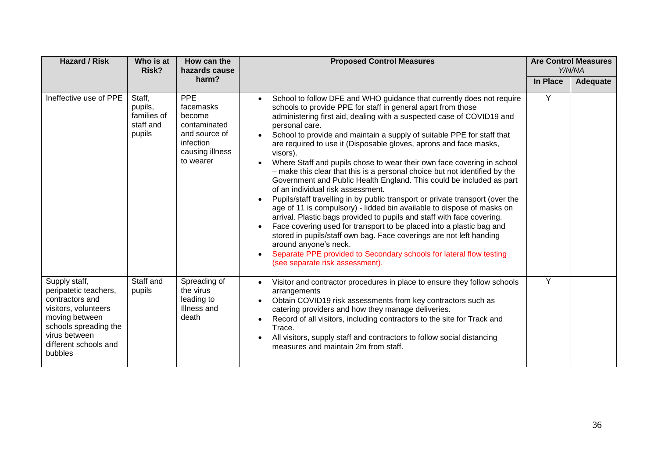| <b>Hazard / Risk</b>                                                                                                                                                              | Who is at<br>Risk?                                      | How can the<br>hazards cause                                                                                    | <b>Proposed Control Measures</b>                                                                                                                                                                                                                                                                                                                                                                                                                                                                                                                                                                                                                                                                                                                                                                                                                                                                                                                                                                                                                                                                                                                                                                     |          | <b>Are Control Measures</b><br>Y/N/NA |  |
|-----------------------------------------------------------------------------------------------------------------------------------------------------------------------------------|---------------------------------------------------------|-----------------------------------------------------------------------------------------------------------------|------------------------------------------------------------------------------------------------------------------------------------------------------------------------------------------------------------------------------------------------------------------------------------------------------------------------------------------------------------------------------------------------------------------------------------------------------------------------------------------------------------------------------------------------------------------------------------------------------------------------------------------------------------------------------------------------------------------------------------------------------------------------------------------------------------------------------------------------------------------------------------------------------------------------------------------------------------------------------------------------------------------------------------------------------------------------------------------------------------------------------------------------------------------------------------------------------|----------|---------------------------------------|--|
|                                                                                                                                                                                   |                                                         | harm?                                                                                                           |                                                                                                                                                                                                                                                                                                                                                                                                                                                                                                                                                                                                                                                                                                                                                                                                                                                                                                                                                                                                                                                                                                                                                                                                      | In Place | Adequate                              |  |
| Ineffective use of PPE                                                                                                                                                            | Staff,<br>pupils,<br>families of<br>staff and<br>pupils | <b>PPE</b><br>facemasks<br>become<br>contaminated<br>and source of<br>infection<br>causing illness<br>to wearer | School to follow DFE and WHO guidance that currently does not require<br>schools to provide PPE for staff in general apart from those<br>administering first aid, dealing with a suspected case of COVID19 and<br>personal care.<br>School to provide and maintain a supply of suitable PPE for staff that<br>are required to use it (Disposable gloves, aprons and face masks,<br>visors).<br>Where Staff and pupils chose to wear their own face covering in school<br>- make this clear that this is a personal choice but not identified by the<br>Government and Public Health England. This could be included as part<br>of an individual risk assessment.<br>Pupils/staff travelling in by public transport or private transport (over the<br>age of 11 is compulsory) - lidded bin available to dispose of masks on<br>arrival. Plastic bags provided to pupils and staff with face covering.<br>Face covering used for transport to be placed into a plastic bag and<br>$\bullet$<br>stored in pupils/staff own bag. Face coverings are not left handing<br>around anyone's neck.<br>Separate PPE provided to Secondary schools for lateral flow testing<br>(see separate risk assessment). | Y        |                                       |  |
| Supply staff,<br>peripatetic teachers,<br>contractors and<br>visitors, volunteers<br>moving between<br>schools spreading the<br>virus between<br>different schools and<br>bubbles | Staff and<br>pupils                                     | Spreading of<br>the virus<br>leading to<br>Illness and<br>death                                                 | Visitor and contractor procedures in place to ensure they follow schools<br>$\bullet$<br>arrangements<br>Obtain COVID19 risk assessments from key contractors such as<br>catering providers and how they manage deliveries.<br>Record of all visitors, including contractors to the site for Track and<br>Trace.<br>All visitors, supply staff and contractors to follow social distancing<br>measures and maintain 2m from staff.                                                                                                                                                                                                                                                                                                                                                                                                                                                                                                                                                                                                                                                                                                                                                                   | Y        |                                       |  |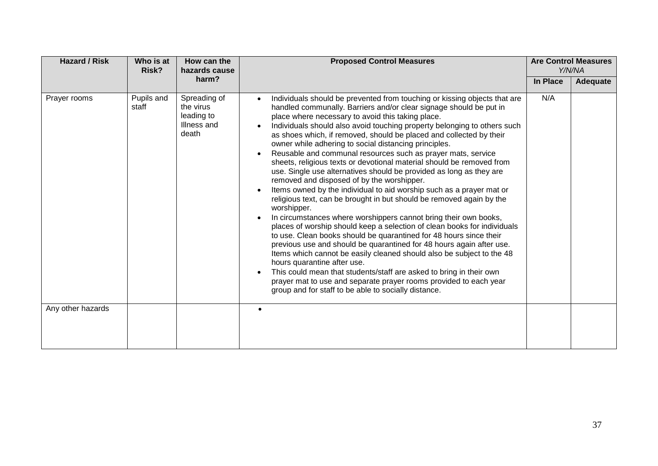| <b>Hazard / Risk</b> | Who is at<br>Risk?  | How can the<br>hazards cause                                    | <b>Proposed Control Measures</b>                                                                                                                                                                                                                                                                                                                                                                                                                                                                                                                                                                                                                                                                                                                                                                                                                                                                                                                                                                                                                                                                                                                                                                                                                                                                                                                                                                                                                                                                                         |          | <b>Are Control Measures</b><br>Y/N/NA |  |
|----------------------|---------------------|-----------------------------------------------------------------|--------------------------------------------------------------------------------------------------------------------------------------------------------------------------------------------------------------------------------------------------------------------------------------------------------------------------------------------------------------------------------------------------------------------------------------------------------------------------------------------------------------------------------------------------------------------------------------------------------------------------------------------------------------------------------------------------------------------------------------------------------------------------------------------------------------------------------------------------------------------------------------------------------------------------------------------------------------------------------------------------------------------------------------------------------------------------------------------------------------------------------------------------------------------------------------------------------------------------------------------------------------------------------------------------------------------------------------------------------------------------------------------------------------------------------------------------------------------------------------------------------------------------|----------|---------------------------------------|--|
|                      |                     | harm?                                                           |                                                                                                                                                                                                                                                                                                                                                                                                                                                                                                                                                                                                                                                                                                                                                                                                                                                                                                                                                                                                                                                                                                                                                                                                                                                                                                                                                                                                                                                                                                                          | In Place | Adequate                              |  |
| Prayer rooms         | Pupils and<br>staff | Spreading of<br>the virus<br>leading to<br>Illness and<br>death | Individuals should be prevented from touching or kissing objects that are<br>$\bullet$<br>handled communally. Barriers and/or clear signage should be put in<br>place where necessary to avoid this taking place.<br>Individuals should also avoid touching property belonging to others such<br>as shoes which, if removed, should be placed and collected by their<br>owner while adhering to social distancing principles.<br>Reusable and communal resources such as prayer mats, service<br>$\bullet$<br>sheets, religious texts or devotional material should be removed from<br>use. Single use alternatives should be provided as long as they are<br>removed and disposed of by the worshipper.<br>Items owned by the individual to aid worship such as a prayer mat or<br>$\bullet$<br>religious text, can be brought in but should be removed again by the<br>worshipper.<br>In circumstances where worshippers cannot bring their own books,<br>$\bullet$<br>places of worship should keep a selection of clean books for individuals<br>to use. Clean books should be quarantined for 48 hours since their<br>previous use and should be quarantined for 48 hours again after use.<br>Items which cannot be easily cleaned should also be subject to the 48<br>hours quarantine after use.<br>This could mean that students/staff are asked to bring in their own<br>$\bullet$<br>prayer mat to use and separate prayer rooms provided to each year<br>group and for staff to be able to socially distance. | N/A      |                                       |  |
| Any other hazards    |                     |                                                                 |                                                                                                                                                                                                                                                                                                                                                                                                                                                                                                                                                                                                                                                                                                                                                                                                                                                                                                                                                                                                                                                                                                                                                                                                                                                                                                                                                                                                                                                                                                                          |          |                                       |  |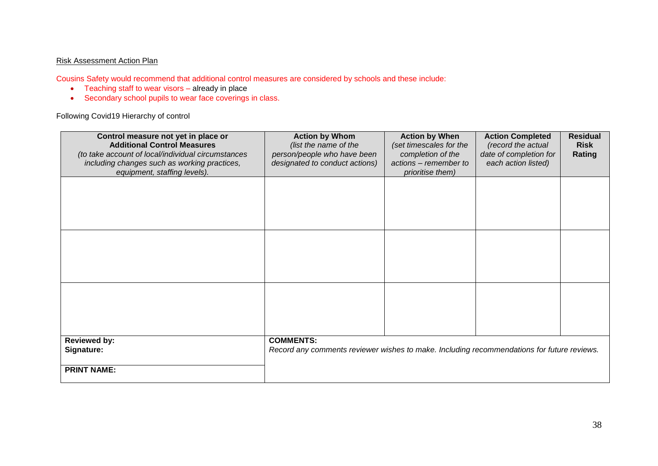## Risk Assessment Action Plan

Cousins Safety would recommend that additional control measures are considered by schools and these include:

- Teaching staff to wear visors already in place
- Secondary school pupils to wear face coverings in class.

Following Covid19 Hierarchy of control

| Control measure not yet in place or<br><b>Additional Control Measures</b><br>(to take account of local/individual circumstances<br>including changes such as working practices, | <b>Action by Whom</b><br>(list the name of the<br>person/people who have been<br>designated to conduct actions) | <b>Action by When</b><br>(set timescales for the<br>completion of the<br>actions - remember to | <b>Action Completed</b><br>(record the actual<br>date of completion for<br>each action listed) | <b>Residual</b><br><b>Risk</b><br>Rating |
|---------------------------------------------------------------------------------------------------------------------------------------------------------------------------------|-----------------------------------------------------------------------------------------------------------------|------------------------------------------------------------------------------------------------|------------------------------------------------------------------------------------------------|------------------------------------------|
| equipment, staffing levels).                                                                                                                                                    |                                                                                                                 | prioritise them)                                                                               |                                                                                                |                                          |
|                                                                                                                                                                                 |                                                                                                                 |                                                                                                |                                                                                                |                                          |
|                                                                                                                                                                                 |                                                                                                                 |                                                                                                |                                                                                                |                                          |
|                                                                                                                                                                                 |                                                                                                                 |                                                                                                |                                                                                                |                                          |
|                                                                                                                                                                                 |                                                                                                                 |                                                                                                |                                                                                                |                                          |
|                                                                                                                                                                                 |                                                                                                                 |                                                                                                |                                                                                                |                                          |
|                                                                                                                                                                                 |                                                                                                                 |                                                                                                |                                                                                                |                                          |
|                                                                                                                                                                                 |                                                                                                                 |                                                                                                |                                                                                                |                                          |
|                                                                                                                                                                                 |                                                                                                                 |                                                                                                |                                                                                                |                                          |
|                                                                                                                                                                                 |                                                                                                                 |                                                                                                |                                                                                                |                                          |
|                                                                                                                                                                                 |                                                                                                                 |                                                                                                |                                                                                                |                                          |
|                                                                                                                                                                                 |                                                                                                                 |                                                                                                |                                                                                                |                                          |
|                                                                                                                                                                                 |                                                                                                                 |                                                                                                |                                                                                                |                                          |
| <b>Reviewed by:</b>                                                                                                                                                             | <b>COMMENTS:</b>                                                                                                |                                                                                                |                                                                                                |                                          |
| Signature:                                                                                                                                                                      | Record any comments reviewer wishes to make. Including recommendations for future reviews.                      |                                                                                                |                                                                                                |                                          |
|                                                                                                                                                                                 |                                                                                                                 |                                                                                                |                                                                                                |                                          |
| <b>PRINT NAME:</b>                                                                                                                                                              |                                                                                                                 |                                                                                                |                                                                                                |                                          |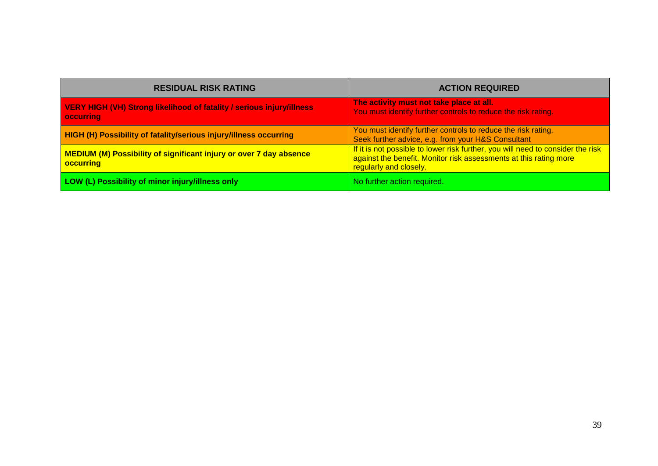| <b>RESIDUAL RISK RATING</b>                                                                   | <b>ACTION REQUIRED</b>                                                                                                                                                         |
|-----------------------------------------------------------------------------------------------|--------------------------------------------------------------------------------------------------------------------------------------------------------------------------------|
| VERY HIGH (VH) Strong likelihood of fatality / serious injury/illness<br><b>occurring</b>     | The activity must not take place at all.<br>You must identify further controls to reduce the risk rating.                                                                      |
| <b>HIGH (H) Possibility of fatality/serious injury/illness occurring</b>                      | You must identify further controls to reduce the risk rating.<br>Seek further advice, e.g. from your H&S Consultant                                                            |
| <b>MEDIUM (M) Possibility of significant injury or over 7 day absence</b><br><b>occurring</b> | If it is not possible to lower risk further, you will need to consider the risk<br>against the benefit. Monitor risk assessments at this rating more<br>regularly and closely. |
| LOW (L) Possibility of minor injury/illness only                                              | No further action required.                                                                                                                                                    |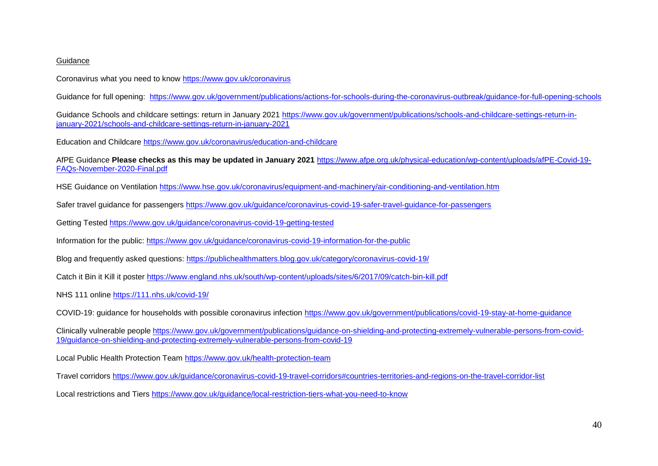## Guidance

Coronavirus what you need to know<https://www.gov.uk/coronavirus>

Guidance for full opening: <https://www.gov.uk/government/publications/actions-for-schools-during-the-coronavirus-outbreak/guidance-for-full-opening-schools>

Guidance Schools and childcare settings: return in January 2021 [https://www.gov.uk/government/publications/schools-and-childcare-settings-return-in](https://www.gov.uk/government/publications/schools-and-childcare-settings-return-in-january-2021/schools-and-childcare-settings-return-in-january-2021)[january-2021/schools-and-childcare-settings-return-in-january-2021](https://www.gov.uk/government/publications/schools-and-childcare-settings-return-in-january-2021/schools-and-childcare-settings-return-in-january-2021)

Education and Childcare <https://www.gov.uk/coronavirus/education-and-childcare>

AfPE Guidance **[Please](https://www.afpe.org.uk/physical-education/wp-content/uploads/afPE-Covid-19-FAQs-September-2020-Final-1.pdf) checks as this may be updated in January 2021** [https://www.afpe.org.uk/physical-education/wp-content/uploads/afPE-Covid-19-](https://www.afpe.org.uk/physical-education/wp-content/uploads/afPE-Covid-19-FAQs-November-2020-Final.pdf) [FAQs-November-2020-Final.pdf](https://www.afpe.org.uk/physical-education/wp-content/uploads/afPE-Covid-19-FAQs-November-2020-Final.pdf)

HSE Guidance on Ventilation<https://www.hse.gov.uk/coronavirus/equipment-and-machinery/air-conditioning-and-ventilation.htm>

Safer travel guidance for passengers<https://www.gov.uk/guidance/coronavirus-covid-19-safer-travel-guidance-for-passengers>

Getting Tested<https://www.gov.uk/guidance/coronavirus-covid-19-getting-tested>

Information for the public:<https://www.gov.uk/guidance/coronavirus-covid-19-information-for-the-public>

Blog and frequently asked questions:<https://publichealthmatters.blog.gov.uk/category/coronavirus-covid-19/>

Catch it Bin it Kill it poster<https://www.england.nhs.uk/south/wp-content/uploads/sites/6/2017/09/catch-bin-kill.pdf>

NHS 111 online<https://111.nhs.uk/covid-19/>

COVID-19: guidance for households with possible coronavirus infection <https://www.gov.uk/government/publications/covid-19-stay-at-home-guidance>

Clinically vulnerable people [https://www.gov.uk/government/publications/guidance-on-shielding-and-protecting-extremely-vulnerable-persons-from-covid-](https://www.gov.uk/government/publications/guidance-on-shielding-and-protecting-extremely-vulnerable-persons-from-covid-19/guidance-on-shielding-and-protecting-extremely-vulnerable-persons-from-covid-19)[19/guidance-on-shielding-and-protecting-extremely-vulnerable-persons-from-covid-19](https://www.gov.uk/government/publications/guidance-on-shielding-and-protecting-extremely-vulnerable-persons-from-covid-19/guidance-on-shielding-and-protecting-extremely-vulnerable-persons-from-covid-19)

Local Public Health Protection Team<https://www.gov.uk/health-protection-team>

Travel corridors<https://www.gov.uk/guidance/coronavirus-covid-19-travel-corridors#countries-territories-and-regions-on-the-travel-corridor-list>

Local restrictions and Tiers<https://www.gov.uk/guidance/local-restriction-tiers-what-you-need-to-know>